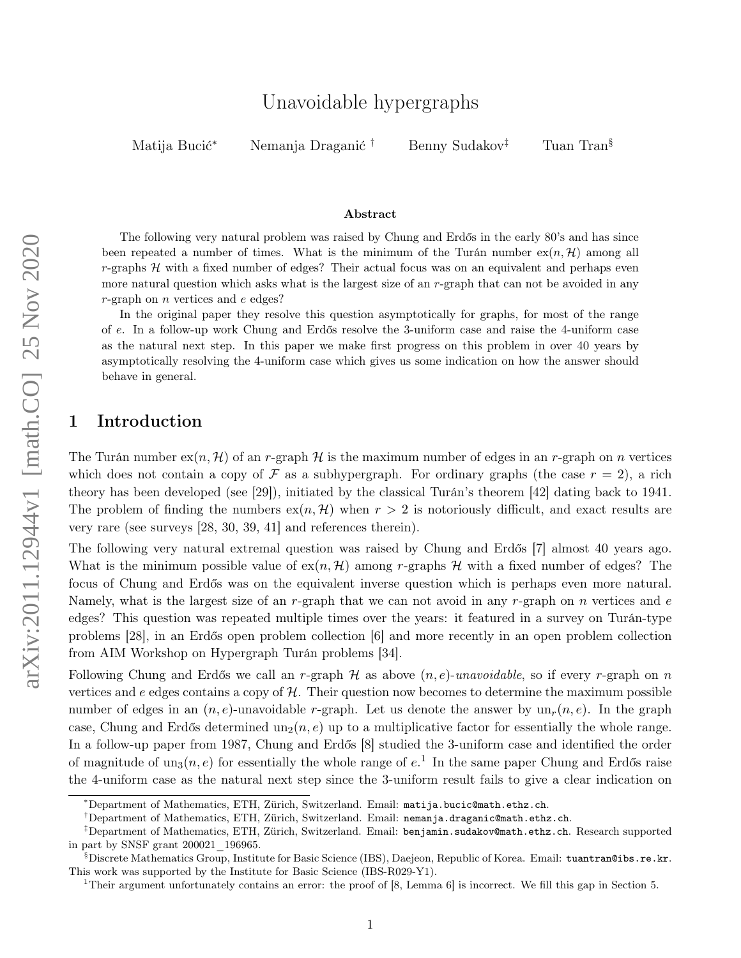# Unavoidable hypergraphs

Matija Bucić<sup>∗</sup> Nemanja Draganić † Benny Sudakov‡ Tuan Tran§

#### Abstract

The following very natural problem was raised by Chung and Erdős in the early 80's and has since been repeated a number of times. What is the minimum of the Turán number  $ex(n, \mathcal{H})$  among all  $r$ -graphs  $H$  with a fixed number of edges? Their actual focus was on an equivalent and perhaps even more natural question which asks what is the largest size of an r-graph that can not be avoided in any r-graph on  $n$  vertices and  $e$  edges?

In the original paper they resolve this question asymptotically for graphs, for most of the range of e. In a follow-up work Chung and Erdős resolve the 3-uniform case and raise the 4-uniform case as the natural next step. In this paper we make first progress on this problem in over 40 years by asymptotically resolving the 4-uniform case which gives us some indication on how the answer should behave in general.

### 1 Introduction

The Turán number  $\exp(n, \mathcal{H})$  of an r-graph  $\mathcal{H}$  is the maximum number of edges in an r-graph on n vertices which does not contain a copy of F as a subhypergraph. For ordinary graphs (the case  $r = 2$ ), a rich theory has been developed (see [\[29\]](#page-22-0)), initiated by the classical Turán's theorem [\[42\]](#page-22-1) dating back to 1941. The problem of finding the numbers  $ex(n, \mathcal{H})$  when  $r > 2$  is notoriously difficult, and exact results are very rare (see surveys [\[28,](#page-22-2) [30,](#page-22-3) [39,](#page-22-4) [41\]](#page-22-5) and references therein).

The following very natural extremal question was raised by Chung and Erdős [\[7\]](#page-21-0) almost 40 years ago. What is the minimum possible value of  $ex(n, \mathcal{H})$  among r-graphs H with a fixed number of edges? The focus of Chung and Erdős was on the equivalent inverse question which is perhaps even more natural. Namely, what is the largest size of an r-graph that we can not avoid in any r-graph on n vertices and  $e$ edges? This question was repeated multiple times over the years: it featured in a survey on Turán-type problems [\[28\]](#page-22-2), in an Erdős open problem collection [\[6\]](#page-21-1) and more recently in an open problem collection from AIM Workshop on Hypergraph Turán problems [\[34\]](#page-22-6).

Following Chung and Erdős we call an r-graph  $\mathcal H$  as above  $(n, e)$ -unavoidable, so if every r-graph on n vertices and e edges contains a copy of  $H$ . Their question now becomes to determine the maximum possible number of edges in an  $(n, e)$ -unavoidable r-graph. Let us denote the answer by  $un_r(n, e)$ . In the graph case, Chung and Erdős determined  $un_2(n, e)$  up to a multiplicative factor for essentially the whole range. In a follow-up paper from 1987, Chung and Erdős [\[8\]](#page-21-2) studied the 3-uniform case and identified the order of magnitude of  $un_3(n, e)$  for essentially the whole range of  $e<sup>1</sup>$  $e<sup>1</sup>$  $e<sup>1</sup>$ . In the same paper Chung and Erdős raise the 4-uniform case as the natural next step since the 3-uniform result fails to give a clear indication on

<sup>∗</sup>Department of Mathematics, ETH, Zürich, Switzerland. Email: [matija.bucic@math.ethz.ch](mailto:matija.bucic@math.ethz.ch).

<sup>†</sup>Department of Mathematics, ETH, Zürich, Switzerland. Email: [nemanja.draganic@math.ethz.ch](mailto:matija.bucic@math.ethz.ch).

<sup>‡</sup>Department of Mathematics, ETH, Zürich, Switzerland. Email: [benjamin.sudakov@math.ethz.ch](mailto:benjamin.sudakov@math.ethz.ch). Research supported in part by SNSF grant 200021\_196965.

<sup>§</sup>Discrete Mathematics Group, Institute for Basic Science (IBS), Daejeon, Republic of Korea. Email: [tuantran@ibs.re.kr](mailto:tuantran@ibs.re.kr). This work was supported by the Institute for Basic Science (IBS-R029-Y1).

<span id="page-0-0"></span><sup>1</sup>Their argument unfortunately contains an error: the proof of [\[8,](#page-21-2) Lemma 6] is incorrect. We fill this gap in Section [5.](#page-10-0)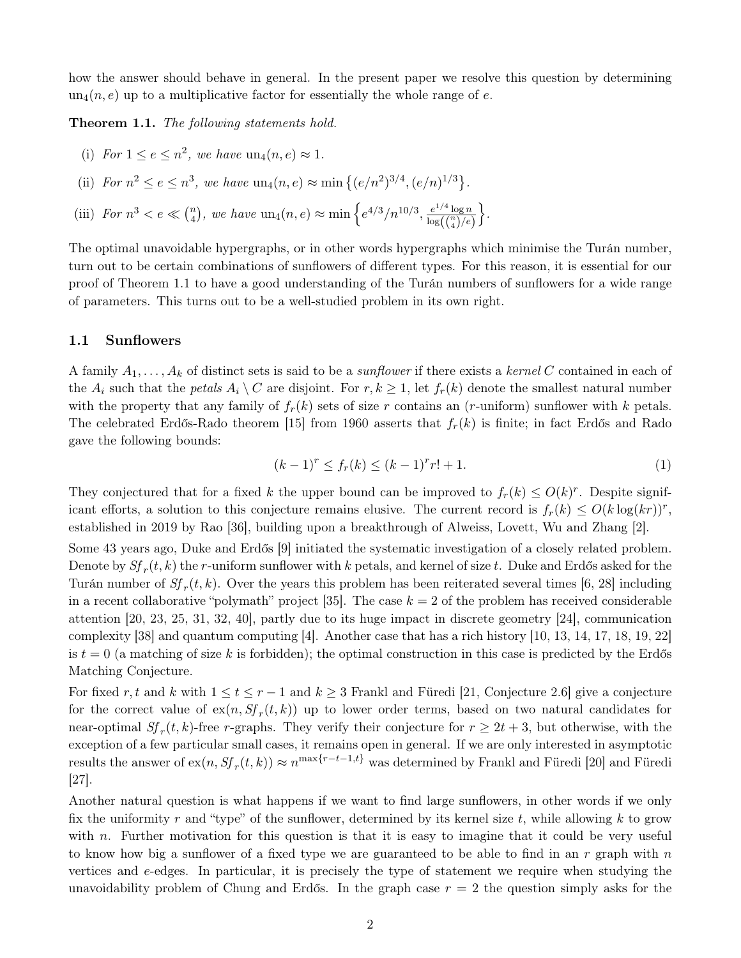how the answer should behave in general. In the present paper we resolve this question by determining  $un_4(n, e)$  up to a multiplicative factor for essentially the whole range of e.

<span id="page-1-0"></span>Theorem 1.1. The following statements hold.

(i) For 
$$
1 \le e \le n^2
$$
, we have  $un_4(n, e) \approx 1$ .

(ii) For 
$$
n^2 \le e \le n^3
$$
, we have  $\text{un}_4(n, e) \approx \min\{(e/n^2)^{3/4}, (e/n)^{1/3}\}$ .

(iii) For  $n^3 < e \ll \binom{n}{4}$ <sup>n</sup><sub>4</sub>), we have  $\text{un}_4(n, e) \approx \min \left\{ e^{4/3} / n^{10/3}, \frac{e^{1/4} \log n}{\log((n)) / e} \right\}$  $\overline{\log\!\left(\binom{n}{4}/e\right)}$  $\big\}$ .

The optimal unavoidable hypergraphs, or in other words hypergraphs which minimise the Turán number, turn out to be certain combinations of sunflowers of different types. For this reason, it is essential for our proof of Theorem [1.1](#page-1-0) to have a good understanding of the Turán numbers of sunflowers for a wide range of parameters. This turns out to be a well-studied problem in its own right.

#### 1.1 Sunflowers

A family  $A_1, \ldots, A_k$  of distinct sets is said to be a *sunflower* if there exists a *kernel C* contained in each of the  $A_i$  such that the petals  $A_i \setminus C$  are disjoint. For  $r, k \ge 1$ , let  $f_r(k)$  denote the smallest natural number with the property that any family of  $f_r(k)$  sets of size r contains an (r-uniform) sunflower with k petals. The celebrated Erdős-Rado theorem [\[15\]](#page-21-3) from 1960 asserts that  $f_r(k)$  is finite; in fact Erdős and Rado gave the following bounds:

$$
(k-1)^r \le f_r(k) \le (k-1)^r r! + 1. \tag{1}
$$

They conjectured that for a fixed k the upper bound can be improved to  $f_r(k) \leq O(k)^r$ . Despite significant efforts, a solution to this conjecture remains elusive. The current record is  $f_r(k) \leq O(k \log(kr))^r$ , established in 2019 by Rao [\[36\]](#page-22-7), building upon a breakthrough of Alweiss, Lovett, Wu and Zhang [\[2\]](#page-21-4).

Some 43 years ago, Duke and Erdős [\[9\]](#page-21-5) initiated the systematic investigation of a closely related problem. Denote by  $S\!f_r(t,k)$  the  $r$ -uniform sunflower with  $k$  petals, and kernel of size  $t$ . Duke and Erdős asked for the Turán number of  $Sf_r(t, k)$ . Over the years this problem has been reiterated several times [\[6,](#page-21-1) [28\]](#page-22-2) including in a recent collaborative "polymath" project [\[35\]](#page-22-8). The case  $k = 2$  of the problem has received considerable attention [\[20,](#page-21-6) [23,](#page-21-7) [25,](#page-22-9) [31,](#page-22-10) [32,](#page-22-11) [40\]](#page-22-12), partly due to its huge impact in discrete geometry [\[24\]](#page-21-8), communication complexity [\[38\]](#page-22-13) and quantum computing [\[4\]](#page-21-9). Another case that has a rich history [\[10,](#page-21-10) [13,](#page-21-11) [14,](#page-21-12) [17,](#page-21-13) [18,](#page-21-14) [19,](#page-21-15) [22\]](#page-21-16) is  $t = 0$  (a matching of size k is forbidden); the optimal construction in this case is predicted by the Erdős Matching Conjecture.

For fixed r, t and k with  $1 \le t \le r - 1$  and  $k \ge 3$  Frankl and Füredi [\[21,](#page-21-17) Conjecture 2.6] give a conjecture for the correct value of  $\exp(n, Sf_r(t, k))$  up to lower order terms, based on two natural candidates for near-optimal  $Sf_r(t, k)$ -free r-graphs. They verify their conjecture for  $r \geq 2t + 3$ , but otherwise, with the exception of a few particular small cases, it remains open in general. If we are only interested in asymptotic results the answer of  $\text{ex}(n, Sf_r(t, k)) \approx n^{\max\{r-t-1, t\}}$  was determined by Frankl and Füredi [\[20\]](#page-21-6) and Füredi [\[27\]](#page-22-14).

Another natural question is what happens if we want to find large sunflowers, in other words if we only fix the uniformity r and "type" of the sunflower, determined by its kernel size t, while allowing  $k$  to grow with n. Further motivation for this question is that it is easy to imagine that it could be very useful to know how big a sunflower of a fixed type we are guaranteed to be able to find in an r graph with n vertices and e-edges. In particular, it is precisely the type of statement we require when studying the unavoidability problem of Chung and Erdős. In the graph case  $r = 2$  the question simply asks for the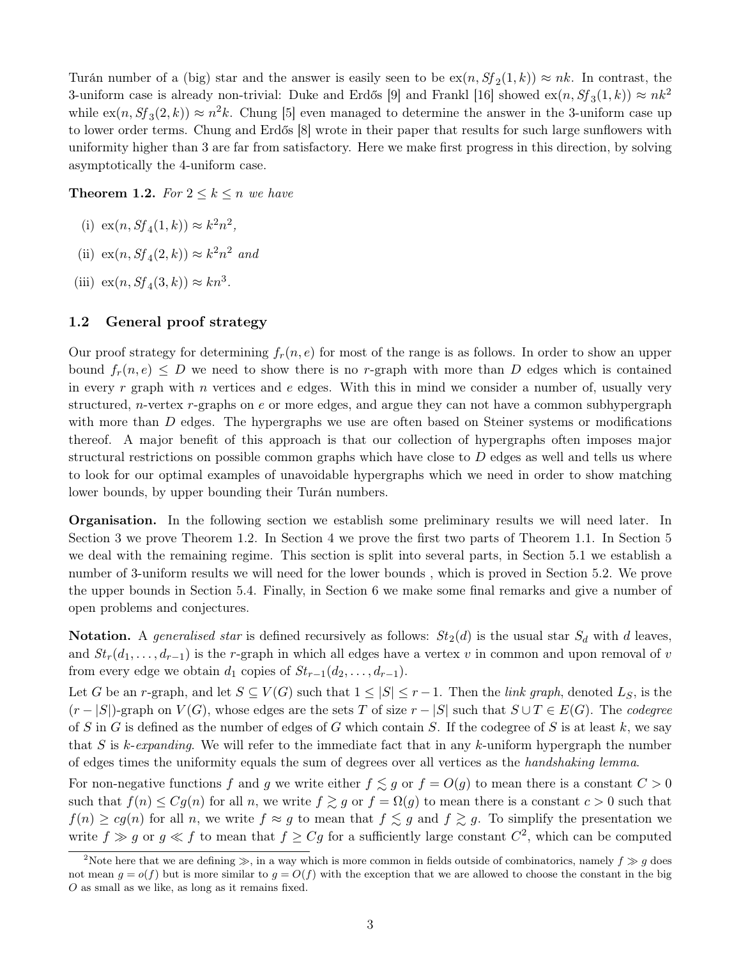Turán number of a (big) star and the answer is easily seen to be  $\operatorname{ex}(n, Sf_2(1, k)) \approx nk$ . In contrast, the 3-uniform case is already non-trivial: Duke and Erdős [\[9\]](#page-21-5) and Frankl [\[16\]](#page-21-18) showed  $\text{ex}(n, Sf_3(1, k)) \approx nk^2$ while  $\operatorname{ex}(n, Sf_3(2, k)) \approx n^2k$ . Chung [\[5\]](#page-21-19) even managed to determine the answer in the 3-uniform case up to lower order terms. Chung and Erdős [\[8\]](#page-21-2) wrote in their paper that results for such large sunflowers with uniformity higher than 3 are far from satisfactory. Here we make first progress in this direction, by solving asymptotically the 4-uniform case.

<span id="page-2-0"></span>**Theorem 1.2.** For  $2 \leq k \leq n$  we have

- (i)  $ex(n, Sf_4(1, k)) \approx k^2 n^2$ ,
- (ii)  $ex(n, Sf_4(2, k)) \approx k^2 n^2$  and
- (iii)  $ex(n, Sf_4(3, k)) \approx kn^3$ .

### 1.2 General proof strategy

Our proof strategy for determining  $f_r(n, e)$  for most of the range is as follows. In order to show an upper bound  $f_r(n, e) \leq D$  we need to show there is no r-graph with more than D edges which is contained in every r graph with n vertices and e edges. With this in mind we consider a number of, usually very structured, *n*-vertex *r*-graphs on  $e$  or more edges, and argue they can not have a common subhypergraph with more than  $D$  edges. The hypergraphs we use are often based on Steiner systems or modifications thereof. A major benefit of this approach is that our collection of hypergraphs often imposes major structural restrictions on possible common graphs which have close to  $D$  edges as well and tells us where to look for our optimal examples of unavoidable hypergraphs which we need in order to show matching lower bounds, by upper bounding their Turán numbers.

Organisation. In the following section we establish some preliminary results we will need later. In Section [3](#page-4-0) we prove Theorem [1.2.](#page-2-0) In Section [4](#page-6-0) we prove the first two parts of Theorem [1.1.](#page-1-0) In Section [5](#page-10-0) we deal with the remaining regime. This section is split into several parts, in Section [5.1](#page-11-0) we establish a number of 3-uniform results we will need for the lower bounds , which is proved in Section [5.2.](#page-15-0) We prove the upper bounds in Section [5.4.](#page-18-0) Finally, in Section [6](#page-19-0) we make some final remarks and give a number of open problems and conjectures.

Notation. A generalised star is defined recursively as follows:  $St_2(d)$  is the usual star  $S_d$  with d leaves, and  $St_r(d_1, \ldots, d_{r-1})$  is the r-graph in which all edges have a vertex v in common and upon removal of v from every edge we obtain  $d_1$  copies of  $St_{r-1}(d_2, \ldots, d_{r-1})$ .

Let G be an r-graph, and let  $S \subseteq V(G)$  such that  $1 \leq |S| \leq r-1$ . Then the *link graph*, denoted  $L_S$ , is the  $(r - |S|)$ -graph on  $V(G)$ , whose edges are the sets T of size  $r - |S|$  such that  $S \cup T \in E(G)$ . The codegree of S in G is defined as the number of edges of G which contain S. If the codegree of S is at least k, we say that S is k-expanding. We will refer to the immediate fact that in any k-uniform hypergraph the number of edges times the uniformity equals the sum of degrees over all vertices as the handshaking lemma.

For non-negative functions f and g we write either  $f \lesssim g$  or  $f = O(g)$  to mean there is a constant  $C > 0$ such that  $f(n) \leq Cg(n)$  for all n, we write  $f \gtrsim g$  or  $f = \Omega(g)$  to mean there is a constant  $c > 0$  such that  $f(n) \ge cg(n)$  for all n, we write  $f \approx g$  to mean that  $f \lesssim g$  and  $f \gtrsim g$ . To simplify the presentation we write  $f \gg g$  or  $g \ll f$  to mean that  $f \ge Cg$  for a sufficiently large constant  $C^2$  $C^2$ , which can be computed

<span id="page-2-1"></span><sup>&</sup>lt;sup>2</sup>Note here that we are defining  $\gg$ , in a way which is more common in fields outside of combinatorics, namely  $f \gg q$  does not mean  $g = o(f)$  but is more similar to  $g = O(f)$  with the exception that we are allowed to choose the constant in the big O as small as we like, as long as it remains fixed.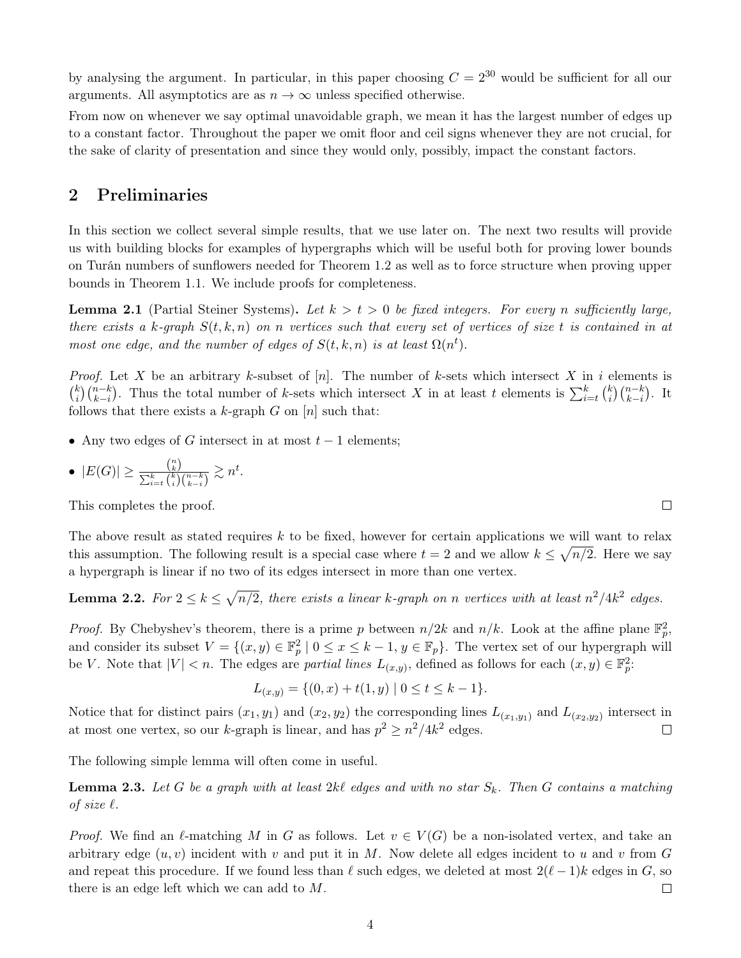by analysing the argument. In particular, in this paper choosing  $C = 2^{30}$  would be sufficient for all our arguments. All asymptotics are as  $n \to \infty$  unless specified otherwise.

From now on whenever we say optimal unavoidable graph, we mean it has the largest number of edges up to a constant factor. Throughout the paper we omit floor and ceil signs whenever they are not crucial, for the sake of clarity of presentation and since they would only, possibly, impact the constant factors.

# 2 Preliminaries

In this section we collect several simple results, that we use later on. The next two results will provide us with building blocks for examples of hypergraphs which will be useful both for proving lower bounds on Turán numbers of sunflowers needed for Theorem [1.2](#page-2-0) as well as to force structure when proving upper bounds in Theorem [1.1.](#page-1-0) We include proofs for completeness.

<span id="page-3-1"></span>**Lemma 2.1** (Partial Steiner Systems). Let  $k > t > 0$  be fixed integers. For every n sufficiently large, there exists a k-graph  $S(t, k, n)$  on n vertices such that every set of vertices of size t is contained in at most one edge, and the number of edges of  $S(t, k, n)$  is at least  $\Omega(n^t)$ .

*Proof.* Let X be an arbitrary k-subset of [n]. The number of k-sets which intersect X in i elements is  $\binom{k}{i}$  $\binom{n-k}{k-i}$ . Thus the total number of k-sets which intersect X in at least t elements is  $\sum_{i=t}^{k}$   $\binom{k}{i}$  $\binom{k}{i}\binom{n-k}{k-i}$ . It follows that there exists a k-graph  $G$  on  $[n]$  such that:

- Any two edges of G intersect in at most  $t-1$  elements;
- $|E(G)| \geq \frac{\binom{n}{k}}{\sum_{k}^{k} \binom{k}{k}}$  $\frac{{k \choose k}}{\sum_{i=t}^k {k \choose i} {n-k \choose k-i}} \gtrsim n^t.$

This completes the proof.

The above result as stated requires k to be fixed, however for certain applications we will want to relax this assumption. The following result is a special case where  $t = 2$  and we allow  $k \leq \sqrt{n/2}$ . Here we say a hypergraph is linear if no two of its edges intersect in more than one vertex.

<span id="page-3-2"></span>**Lemma 2.2.** For  $2 \le k \le \sqrt{n/2}$ , there exists a linear k-graph on n vertices with at least  $n^2/4k^2$  edges.

*Proof.* By Chebyshev's theorem, there is a prime p between  $n/2k$  and  $n/k$ . Look at the affine plane  $\mathbb{F}_p^2$ , and consider its subset  $V = \{(x, y) \in \mathbb{F}_p^2 \mid 0 \le x \le k-1, y \in \mathbb{F}_p\}$ . The vertex set of our hypergraph will be V. Note that  $|V| < n$ . The edges are *partial lines*  $L_{(x,y)}$ , defined as follows for each  $(x,y) \in \mathbb{F}_p^2$ .

$$
L_{(x,y)} = \{(0,x) + t(1,y) \mid 0 \le t \le k - 1\}.
$$

Notice that for distinct pairs  $(x_1, y_1)$  and  $(x_2, y_2)$  the corresponding lines  $L_{(x_1, y_1)}$  and  $L_{(x_2, y_2)}$  intersect in at most one vertex, so our k-graph is linear, and has  $p^2 \geq n^2/4k^2$  edges.  $\Box$ 

<span id="page-3-0"></span>The following simple lemma will often come in useful.

**Lemma 2.3.** Let G be a graph with at least  $2kl$  edges and with no star  $S_k$ . Then G contains a matching of size  $\ell$ .

*Proof.* We find an  $\ell$ -matching M in G as follows. Let  $v \in V(G)$  be a non-isolated vertex, and take an arbitrary edge  $(u, v)$  incident with v and put it in M. Now delete all edges incident to u and v from G and repeat this procedure. If we found less than  $\ell$  such edges, we deleted at most  $2(\ell - 1)k$  edges in G, so there is an edge left which we can add to M.  $\Box$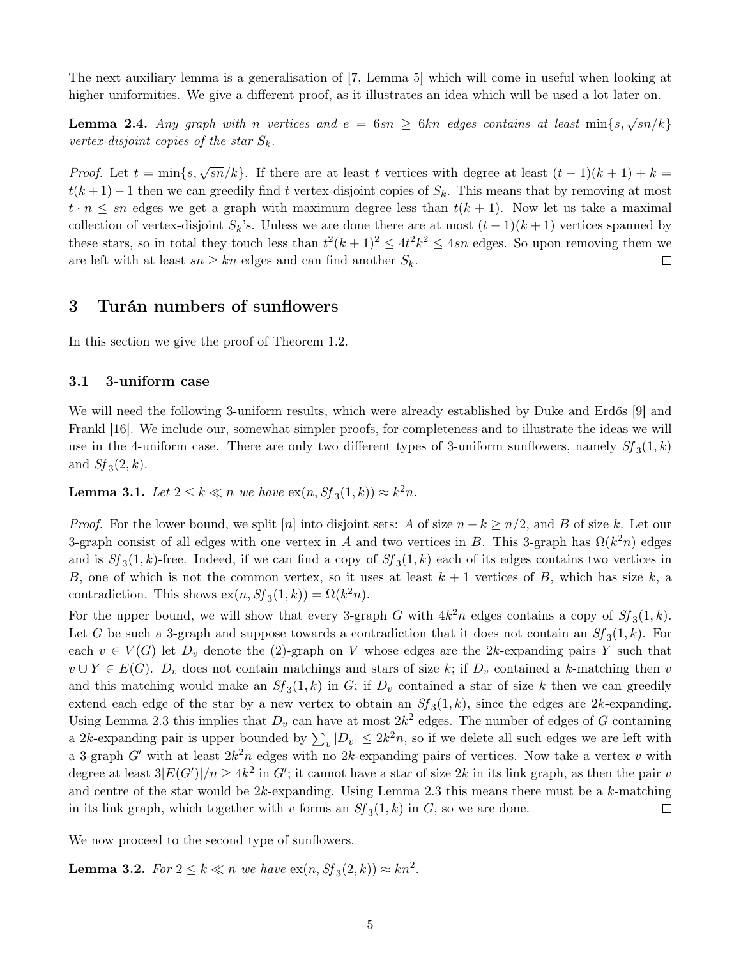The next auxiliary lemma is a generalisation of [\[7,](#page-21-0) Lemma 5] which will come in useful when looking at higher uniformities. We give a different proof, as it illustrates an idea which will be used a lot later on.

<span id="page-4-2"></span>**Lemma 2.4.** Any graph with n vertices and  $e = 6sn \ge 6kn$  edges contains at least  $\min\{s, \sqrt{sn}/k\}$ vertex-disjoint copies of the star  $S_k$ .

*Proof.* Let  $t = \min\{s, \sqrt{sn}/k\}$ . If there are at least t vertices with degree at least  $(t-1)(k+1) + k =$  $t(k+1)-1$  then we can greedily find t vertex-disjoint copies of  $S_k$ . This means that by removing at most  $t \cdot n \leq sn$  edges we get a graph with maximum degree less than  $t(k + 1)$ . Now let us take a maximal collection of vertex-disjoint  $S_k$ 's. Unless we are done there are at most  $(t-1)(k+1)$  vertices spanned by these stars, so in total they touch less than  $t^2(k+1)^2 \le 4t^2k^2 \le 4sn$  edges. So upon removing them we are left with at least  $sn \geq kn$  edges and can find another  $S_k$ .  $\Box$ 

### <span id="page-4-0"></span>3 Turán numbers of sunflowers

In this section we give the proof of Theorem [1.2.](#page-2-0)

#### 3.1 3-uniform case

We will need the following 3-uniform results, which were already established by Duke and Erdős [\[9\]](#page-21-5) and Frankl [\[16\]](#page-21-18). We include our, somewhat simpler proofs, for completeness and to illustrate the ideas we will use in the 4-uniform case. There are only two different types of 3-uniform sunflowers, namely  $Sf_3(1, k)$ and  $Sf_3(2, k)$ .

<span id="page-4-1"></span>**Lemma 3.1.** Let  $2 \leq k \ll n$  we have  $\operatorname{ex}(n, Sf_3(1, k)) \approx k^2 n$ .

*Proof.* For the lower bound, we split [n] into disjoint sets: A of size  $n - k \geq n/2$ , and B of size k. Let our 3-graph consist of all edges with one vertex in A and two vertices in B. This 3-graph has  $\Omega(k^2 n)$  edges and is  $Sf_3(1, k)$ -free. Indeed, if we can find a copy of  $Sf_3(1, k)$  each of its edges contains two vertices in B, one of which is not the common vertex, so it uses at least  $k + 1$  vertices of B, which has size k, a contradiction. This shows  $ex(n, Sf_3(1, k)) = \Omega(k^2 n)$ .

For the upper bound, we will show that every 3-graph G with  $4k^2n$  edges contains a copy of  $S_f(1,k)$ . Let G be such a 3-graph and suppose towards a contradiction that it does not contain an  $Sf_3(1,k)$ . For each  $v \in V(G)$  let  $D_v$  denote the (2)-graph on V whose edges are the 2k-expanding pairs Y such that  $v \cup Y \in E(G)$ .  $D_v$  does not contain matchings and stars of size k; if  $D_v$  contained a k-matching then v and this matching would make an  $Sf_3(1,k)$  in G; if  $D_v$  contained a star of size k then we can greedily extend each edge of the star by a new vertex to obtain an  $Sf_3(1,k)$ , since the edges are 2k-expanding. Using Lemma [2.3](#page-3-0) this implies that  $D_v$  can have at most  $2k^2$  edges. The number of edges of G containing a 2k-expanding pair is upper bounded by  $\sum_{v} |D_v| \leq 2k^2 n$ , so if we delete all such edges we are left with a 3-graph G' with at least  $2k^2n$  edges with no 2k-expanding pairs of vertices. Now take a vertex v with degree at least  $3|E(G')|/n \ge 4k^2$  in G'; it cannot have a star of size 2k in its link graph, as then the pair v and centre of the star would be  $2k$ -expanding. Using Lemma [2.3](#page-3-0) this means there must be a  $k$ -matching in its link graph, which together with v forms an  $Sf_3(1, k)$  in G, so we are done.  $\Box$ 

<span id="page-4-3"></span>We now proceed to the second type of sunflowers.

**Lemma 3.2.** For  $2 \leq k \ll n$  we have  $ex(n, Sf_3(2, k)) \approx kn^2$ .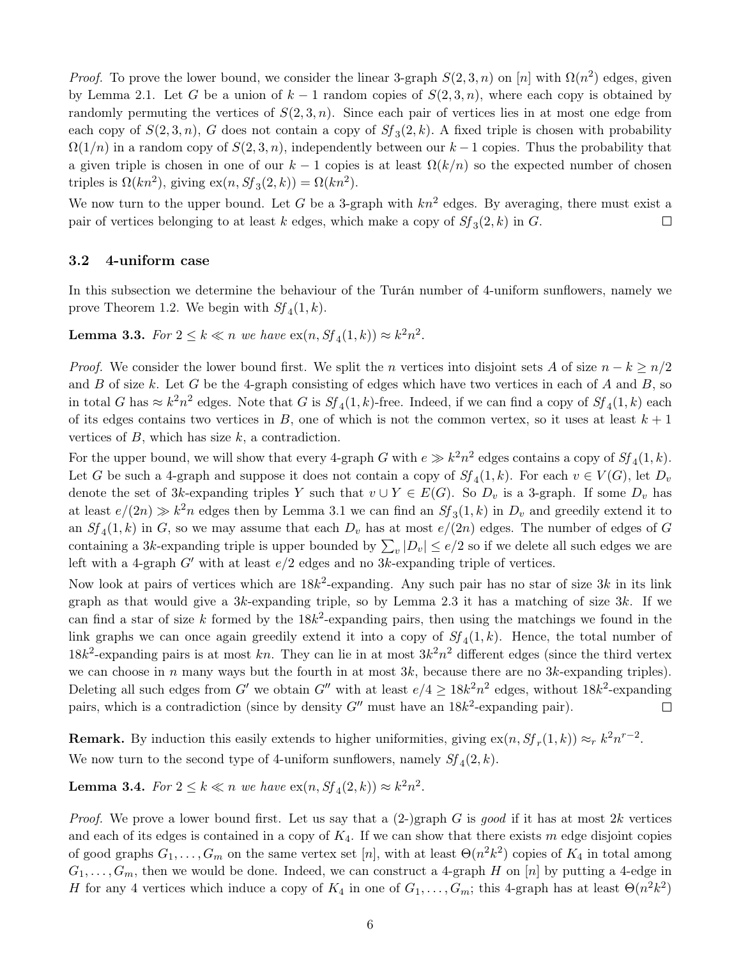*Proof.* To prove the lower bound, we consider the linear 3-graph  $S(2,3,n)$  on [n] with  $\Omega(n^2)$  edges, given by Lemma [2.1.](#page-3-1) Let G be a union of  $k-1$  random copies of  $S(2,3,n)$ , where each copy is obtained by randomly permuting the vertices of  $S(2,3,n)$ . Since each pair of vertices lies in at most one edge from each copy of  $S(2,3,n)$ , G does not contain a copy of  $S_f(3,2,k)$ . A fixed triple is chosen with probability  $\Omega(1/n)$  in a random copy of  $S(2, 3, n)$ , independently between our k – 1 copies. Thus the probability that a given triple is chosen in one of our  $k-1$  copies is at least  $\Omega(k/n)$  so the expected number of chosen triples is  $\Omega(kn^2)$ , giving  $\text{ex}(n, Sf_3(2, k)) = \Omega(kn^2)$ .

We now turn to the upper bound. Let G be a 3-graph with  $kn^2$  edges. By averaging, there must exist a pair of vertices belonging to at least k edges, which make a copy of  $Sf_3(2, k)$  in G.  $\Box$ 

#### 3.2 4-uniform case

In this subsection we determine the behaviour of the Turán number of 4-uniform sunflowers, namely we prove Theorem [1.2.](#page-2-0) We begin with  $Sf_4(1, k)$ .

**Lemma 3.3.** For  $2 \leq k \ll n$  we have  $\operatorname{ex}(n, Sf_4(1, k)) \approx k^2 n^2$ .

*Proof.* We consider the lower bound first. We split the n vertices into disjoint sets A of size  $n - k \geq n/2$ and B of size k. Let G be the 4-graph consisting of edges which have two vertices in each of A and B, so in total G has  $\approx k^2 n^2$  edges. Note that G is  $Sf_4(1,k)$ -free. Indeed, if we can find a copy of  $Sf_4(1,k)$  each of its edges contains two vertices in B, one of which is not the common vertex, so it uses at least  $k + 1$ vertices of  $B$ , which has size  $k$ , a contradiction.

For the upper bound, we will show that every 4-graph G with  $e \gg k^2 n^2$  edges contains a copy of  $Sf_4(1, k)$ . Let G be such a 4-graph and suppose it does not contain a copy of  $Sf_4(1,k)$ . For each  $v \in V(G)$ , let  $D_v$ denote the set of 3k-expanding triples Y such that  $v \cup Y \in E(G)$ . So  $D_v$  is a 3-graph. If some  $D_v$  has at least  $e/(2n) \gg k^2n$  edges then by Lemma [3.1](#page-4-1) we can find an  $Sf_3(1,k)$  in  $D_v$  and greedily extend it to an  $Sf_4(1,k)$  in G, so we may assume that each  $D_v$  has at most  $e/(2n)$  edges. The number of edges of G containing a 3k-expanding triple is upper bounded by  $\sum_{v} |D_v| \le e/2$  so if we delete all such edges we are left with a 4-graph  $G'$  with at least  $e/2$  edges and no 3k-expanding triple of vertices.

Now look at pairs of vertices which are  $18k^2$ -expanding. Any such pair has no star of size  $3k$  in its link graph as that would give a  $3k$ -expanding triple, so by Lemma [2.3](#page-3-0) it has a matching of size  $3k$ . If we can find a star of size k formed by the  $18k^2$ -expanding pairs, then using the matchings we found in the link graphs we can once again greedily extend it into a copy of  $S_f(1,k)$ . Hence, the total number of  $18k^2$ -expanding pairs is at most kn. They can lie in at most  $3k^2n^2$  different edges (since the third vertex we can choose in n many ways but the fourth in at most  $3k$ , because there are no  $3k$ -expanding triples). Deleting all such edges from G' we obtain G'' with at least  $e/4 \ge 18k^2n^2$  edges, without  $18k^2$ -expanding pairs, which is a contradiction (since by density  $G''$  must have an  $18k^2$ -expanding pair).  $\Box$ 

**Remark.** By induction this easily extends to higher uniformities, giving  $ex(n, Sf_r(1, k)) \approx_r k^2 n^{r-2}$ . We now turn to the second type of 4-uniform sunflowers, namely  $Sf_4(2, k)$ .

**Lemma 3.4.** For  $2 \leq k \ll n$  we have  $\operatorname{ex}(n, Sf_4(2, k)) \approx k^2 n^2$ .

*Proof.* We prove a lower bound first. Let us say that a  $(2-)$ graph G is good if it has at most  $2k$  vertices and each of its edges is contained in a copy of  $K_4$ . If we can show that there exists m edge disjoint copies of good graphs  $G_1, \ldots, G_m$  on the same vertex set [n], with at least  $\Theta(n^2k^2)$  copies of  $K_4$  in total among  $G_1, \ldots, G_m$ , then we would be done. Indeed, we can construct a 4-graph H on [n] by putting a 4-edge in H for any 4 vertices which induce a copy of  $K_4$  in one of  $G_1, \ldots, G_m$ ; this 4-graph has at least  $\Theta(n^2k^2)$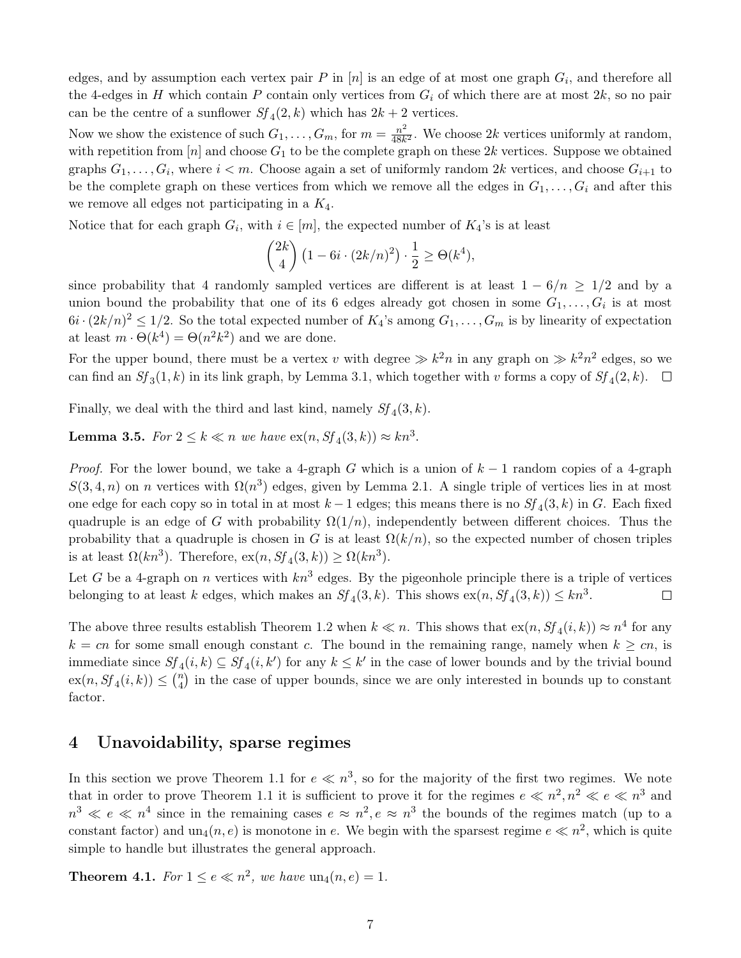edges, and by assumption each vertex pair  $P$  in  $[n]$  is an edge of at most one graph  $G_i$ , and therefore all the 4-edges in H which contain P contain only vertices from  $G_i$  of which there are at most  $2k$ , so no pair can be the centre of a sunflower  $Sf_4(2, k)$  which has  $2k + 2$  vertices.

Now we show the existence of such  $G_1, \ldots, G_m$ , for  $m = \frac{n^2}{48k}$  $\frac{n^2}{48k^2}$ . We choose 2k vertices uniformly at random, with repetition from  $[n]$  and choose  $G_1$  to be the complete graph on these 2k vertices. Suppose we obtained graphs  $G_1, \ldots, G_i$ , where  $i < m$ . Choose again a set of uniformly random 2k vertices, and choose  $G_{i+1}$  to be the complete graph on these vertices from which we remove all the edges in  $G_1, \ldots, G_i$  and after this we remove all edges not participating in a  $K_4$ .

Notice that for each graph  $G_i$ , with  $i \in [m]$ , the expected number of  $K_4$ 's is at least

$$
\binom{2k}{4} \left(1 - 6i \cdot (2k/n)^2\right) \cdot \frac{1}{2} \ge \Theta(k^4),
$$

since probability that 4 randomly sampled vertices are different is at least  $1 - 6/n \ge 1/2$  and by a union bound the probability that one of its 6 edges already got chosen in some  $G_1, \ldots, G_i$  is at most  $6i \cdot (2k/n)^2 \leq 1/2$ . So the total expected number of  $K_4$ 's among  $G_1, \ldots, G_m$  is by linearity of expectation at least  $m \cdot \Theta(k^4) = \Theta(n^2 k^2)$  and we are done.

For the upper bound, there must be a vertex v with degree  $\gg k^2n$  in any graph on  $\gg k^2n^2$  edges, so we can find an  $Sf_3(1, k)$  in its link graph, by Lemma [3.1,](#page-4-1) which together with v forms a copy of  $Sf_4(2, k)$ .

Finally, we deal with the third and last kind, namely  $Sf_4(3, k)$ .

**Lemma 3.5.** For  $2 \leq k \ll n$  we have  $ex(n, Sf_4(3, k)) \approx kn^3$ .

*Proof.* For the lower bound, we take a 4-graph G which is a union of  $k-1$  random copies of a 4-graph  $S(3, 4, n)$  on n vertices with  $\Omega(n^3)$  edges, given by Lemma [2.1.](#page-3-1) A single triple of vertices lies in at most one edge for each copy so in total in at most  $k-1$  edges; this means there is no  $Sf_4(3, k)$  in G. Each fixed quadruple is an edge of G with probability  $\Omega(1/n)$ , independently between different choices. Thus the probability that a quadruple is chosen in G is at least  $\Omega(k/n)$ , so the expected number of chosen triples is at least  $\Omega(kn^3)$ . Therefore,  $\operatorname{ex}(n, Sf_4(3, k)) \ge \Omega(kn^3)$ .

Let G be a 4-graph on n vertices with  $kn^3$  edges. By the pigeonhole principle there is a triple of vertices belonging to at least k edges, which makes an  $Sf_4(3, k)$ . This shows  $ex(n, Sf_4(3, k)) \leq kn^3$ .  $\Box$ 

The above three results establish Theorem [1.2](#page-2-0) when  $k \ll n$ . This shows that  $\exp(n, Sf_4(i, k)) \approx n^4$  for any  $k = cn$  for some small enough constant c. The bound in the remaining range, namely when  $k \geq cn$ , is immediate since  $Sf_4(i,k) \subseteq Sf_4(i,k')$  for any  $k \leq k'$  in the case of lower bounds and by the trivial bound  $ex(n, Sf_4(i, k)) \leq {n \choose 4}$  $\binom{n}{4}$  in the case of upper bounds, since we are only interested in bounds up to constant factor.

### <span id="page-6-0"></span>4 Unavoidability, sparse regimes

In this section we prove Theorem [1.1](#page-1-0) for  $e \ll n^3$ , so for the majority of the first two regimes. We note that in order to prove Theorem [1.1](#page-1-0) it is sufficient to prove it for the regimes  $e \ll n^2, n^2 \ll e \ll n^3$  and  $n^3 \ll e \ll n^4$  since in the remaining cases  $e \approx n^2, e \approx n^3$  the bounds of the regimes match (up to a constant factor) and  $un_4(n, e)$  is monotone in e. We begin with the sparsest regime  $e \ll n^2$ , which is quite simple to handle but illustrates the general approach.

**Theorem 4.1.** For  $1 \leq e \ll n^2$ , we have  $un_4(n, e) = 1$ .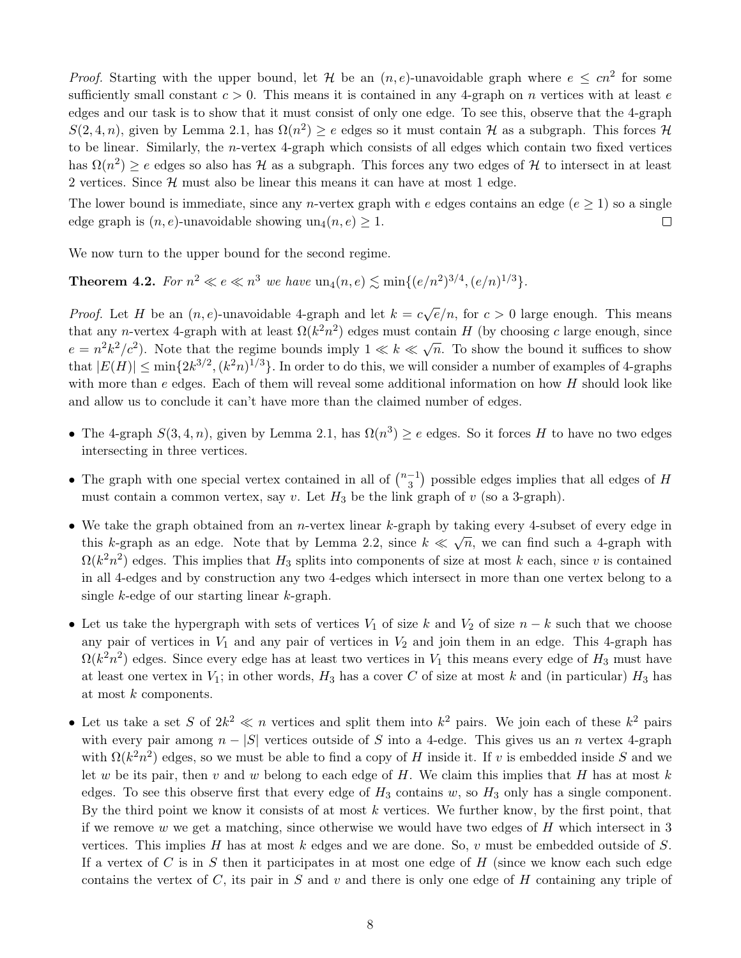*Proof.* Starting with the upper bound, let H be an  $(n, e)$ -unavoidable graph where  $e \leq cn^2$  for some sufficiently small constant  $c > 0$ . This means it is contained in any 4-graph on n vertices with at least e edges and our task is to show that it must consist of only one edge. To see this, observe that the 4-graph  $S(2,4,n)$ , given by Lemma [2.1,](#page-3-1) has  $\Omega(n^2) \ge e$  edges so it must contain H as a subgraph. This forces H to be linear. Similarly, the n-vertex 4-graph which consists of all edges which contain two fixed vertices has  $\Omega(n^2) \ge e$  edges so also has H as a subgraph. This forces any two edges of H to intersect in at least 2 vertices. Since  $H$  must also be linear this means it can have at most 1 edge.

The lower bound is immediate, since any *n*-vertex graph with e edges contains an edge ( $e \geq 1$ ) so a single edge graph is  $(n, e)$ -unavoidable showing un $(1, e) \geq 1$ .  $\Box$ 

<span id="page-7-0"></span>We now turn to the upper bound for the second regime.

**Theorem 4.2.** For  $n^2 \ll e \ll n^3$  we have  $\text{un}_4(n, e) \lesssim \text{min}\{(e/n^2)^{3/4}, (e/n)^{1/3}\}.$ 

*Proof.* Let H be an  $(n, e)$ -unavoidable 4-graph and let  $k = c\sqrt{e}/n$ , for  $c > 0$  large enough. This means that any n-vertex 4-graph with at least  $\Omega(k^2 n^2)$  edges must contain H (by choosing c large enough, since  $e = n^2 k^2/c^2$ ). Note that the regime bounds imply  $1 \ll k \ll \sqrt{n}$ . To show the bound it suffices to show that  $|E(H)| \le \min\{2k^{3/2}, (k^2n)^{1/3}\}\.$  In order to do this, we will consider a number of examples of 4-graphs with more than  $e$  edges. Each of them will reveal some additional information on how  $H$  should look like and allow us to conclude it can't have more than the claimed number of edges.

- The 4-graph  $S(3, 4, n)$ , given by Lemma [2.1,](#page-3-1) has  $\Omega(n^3) \ge e$  edges. So it forces H to have no two edges intersecting in three vertices.
- The graph with one special vertex contained in all of  $\binom{n-1}{3}$  $\binom{-1}{3}$  possible edges implies that all edges of H must contain a common vertex, say v. Let  $H_3$  be the link graph of v (so a 3-graph).
- We take the graph obtained from an *n*-vertex linear k-graph by taking every 4-subset of every edge in this k-graph as an edge. Note that by Lemma [2.2,](#page-3-2) since  $k \ll \sqrt{n}$ , we can find such a 4-graph with  $\Omega(k^2 n^2)$  edges. This implies that  $H_3$  splits into components of size at most k each, since v is contained in all 4-edges and by construction any two 4-edges which intersect in more than one vertex belong to a single k-edge of our starting linear k-graph.
- Let us take the hypergraph with sets of vertices  $V_1$  of size k and  $V_2$  of size  $n k$  such that we choose any pair of vertices in  $V_1$  and any pair of vertices in  $V_2$  and join them in an edge. This 4-graph has  $\Omega(k^2n^2)$  edges. Since every edge has at least two vertices in  $V_1$  this means every edge of  $H_3$  must have at least one vertex in  $V_1$ ; in other words,  $H_3$  has a cover C of size at most k and (in particular)  $H_3$  has at most k components.
- Let us take a set S of  $2k^2 \ll n$  vertices and split them into  $k^2$  pairs. We join each of these  $k^2$  pairs with every pair among  $n - |S|$  vertices outside of S into a 4-edge. This gives us an n vertex 4-graph with  $\Omega(k^2 n^2)$  edges, so we must be able to find a copy of H inside it. If v is embedded inside S and we let w be its pair, then v and w belong to each edge of H. We claim this implies that H has at most k edges. To see this observe first that every edge of  $H_3$  contains w, so  $H_3$  only has a single component. By the third point we know it consists of at most  $k$  vertices. We further know, by the first point, that if we remove w we get a matching, since otherwise we would have two edges of  $H$  which intersect in 3 vertices. This implies H has at most k edges and we are done. So,  $v$  must be embedded outside of S. If a vertex of C is in S then it participates in at most one edge of H (since we know each such edge contains the vertex of  $C$ , its pair in  $S$  and  $v$  and there is only one edge of  $H$  containing any triple of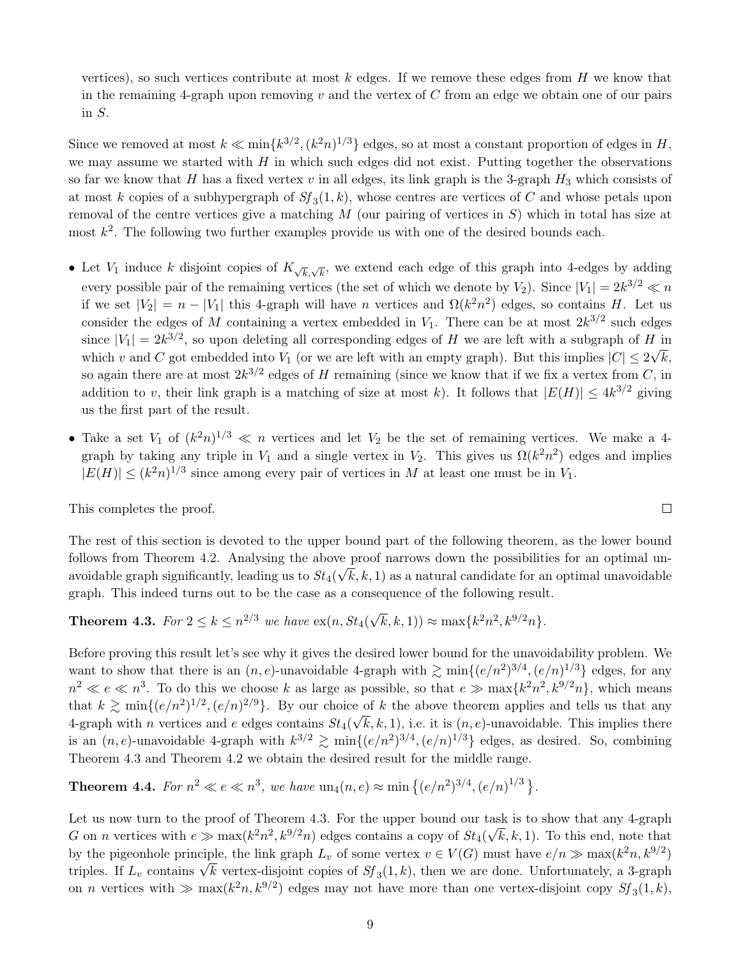vertices), so such vertices contribute at most  $k$  edges. If we remove these edges from  $H$  we know that in the remaining 4-graph upon removing v and the vertex of C from an edge we obtain one of our pairs in S.

Since we removed at most  $k \ll \min\{k^{3/2}, (k^2n)^{1/3}\}\)$  edges, so at most a constant proportion of edges in H, we may assume we started with  $H$  in which such edges did not exist. Putting together the observations so far we know that H has a fixed vertex v in all edges, its link graph is the 3-graph  $H_3$  which consists of at most k copies of a subhypergraph of  $S_f(1,k)$ , whose centres are vertices of C and whose petals upon removal of the centre vertices give a matching  $M$  (our pairing of vertices in  $S$ ) which in total has size at most  $k^2$ . The following two further examples provide us with one of the desired bounds each.

- Let  $V_1$  induce k disjoint copies of  $K_{\sqrt{k},\sqrt{k}}$ , we extend each edge of this graph into 4-edges by adding every possible pair of the remaining vertices (the set of which we denote by  $V_2$ ). Since  $|V_1| = 2k^{3/2} \ll n$ if we set  $|V_2| = n - |V_1|$  this 4-graph will have n vertices and  $\Omega(k^2 n^2)$  edges, so contains H. Let us consider the edges of M containing a vertex embedded in  $V_1$ . There can be at most  $2k^{3/2}$  such edges since  $|V_1| = 2k^{3/2}$ , so upon deleting all corresponding edges of H we are left with a subgraph of H in which v and C got embedded into  $V_1$  (or we are left with an empty graph). But this implies  $|C| \leq 2\sqrt{k}$ , so again there are at most  $2k^{3/2}$  edges of H remaining (since we know that if we fix a vertex from C, in addition to v, their link graph is a matching of size at most k). It follows that  $|E(H)| \leq 4k^{3/2}$  giving us the first part of the result.
- Take a set  $V_1$  of  $(k^2n)^{1/3} \ll n$  vertices and let  $V_2$  be the set of remaining vertices. We make a 4graph by taking any triple in  $V_1$  and a single vertex in  $V_2$ . This gives us  $\Omega(k^2 n^2)$  edges and implies  $|E(H)| \leq (k^2 n)^{1/3}$  since among every pair of vertices in M at least one must be in  $V_1$ .

This completes the proof.

The rest of this section is devoted to the upper bound part of the following theorem, as the lower bound follows from Theorem [4.2.](#page-7-0) Analysing the above proof narrows down the possibilities for an optimal unavoidable graph significantly, leading us to  $St_4(\sqrt{k},k,1)$  as a natural candidate for an optimal unavoidable graph. This indeed turns out to be the case as a consequence of the following result.

<span id="page-8-0"></span>**Theorem 4.3.** For 
$$
2 \le k \le n^{2/3}
$$
 we have  $\exp(n, St_4(\sqrt{k}, k, 1)) \approx \max\{k^2n^2, k^{9/2}n\}.$ 

Before proving this result let's see why it gives the desired lower bound for the unavoidability problem. We want to show that there is an  $(n, e)$ -unavoidable 4-graph with  $\gtrsim \min\{(e/n^2)^{3/4}, (e/n)^{1/3}\}\)$  edges, for any  $n^2 \ll e \ll n^3$ . To do this we choose k as large as possible, so that  $e \gg \max\{k^2 n^2, k^{9/2} n\}$ , which means that  $k \gtrsim \min\{(e/n^2)^{1/2}, (e/n)^{2/9}\}\.$  By our choice of k the above theorem applies and tells us that any 4-graph with *n* vertices and *e* edges contains  $St_4(\sqrt{k}, k, 1)$ , i.e. it is  $(n, e)$ -unavoidable. This implies there is an  $(n, e)$ -unavoidable 4-graph with  $k^{3/2} \gtrsim \min\{(e/n^2)^{3/4}, (e/n)^{1/3}\}\)$  edges, as desired. So, combining Theorem [4.3](#page-8-0) and Theorem [4.2](#page-7-0) we obtain the desired result for the middle range.

<span id="page-8-1"></span>**Theorem 4.4.** For  $n^2 \ll e \ll n^3$ , we have  $\text{un}_4(n, e) \approx \min \{(e/n^2)^{3/4}, (e/n)^{1/3}\}.$ 

Let us now turn to the proof of Theorem [4.3.](#page-8-0) For the upper bound our task is to show that any 4-graph G on n vertices with  $e \gg \max(k^2 n^2, k^{9/2} n)$  edges contains a copy of  $St_4(\sqrt{k}, k, 1)$ . To this end, note that by the pigeonhole principle, the link graph  $L_v$  of some vertex  $v \in V(G)$  must have  $e/n \gg \max(k^2 n, k^{9/2})$ by the pigeomole principle, the link graph  $L_v$  or some vertex  $v \in V(G)$  must have  $e/n \gg \max(\kappa n, \kappa^{\gamma})$ <br>triples. If  $L_v$  contains  $\sqrt{k}$  vertex-disjoint copies of  $Sf_3(1,k)$ , then we are done. Unfortunately, a 3-graph on *n* vertices with  $\gg$  max( $k^2n, k^{9/2}$ ) edges may not have more than one vertex-disjoint copy  $Sf_3(1, k)$ ,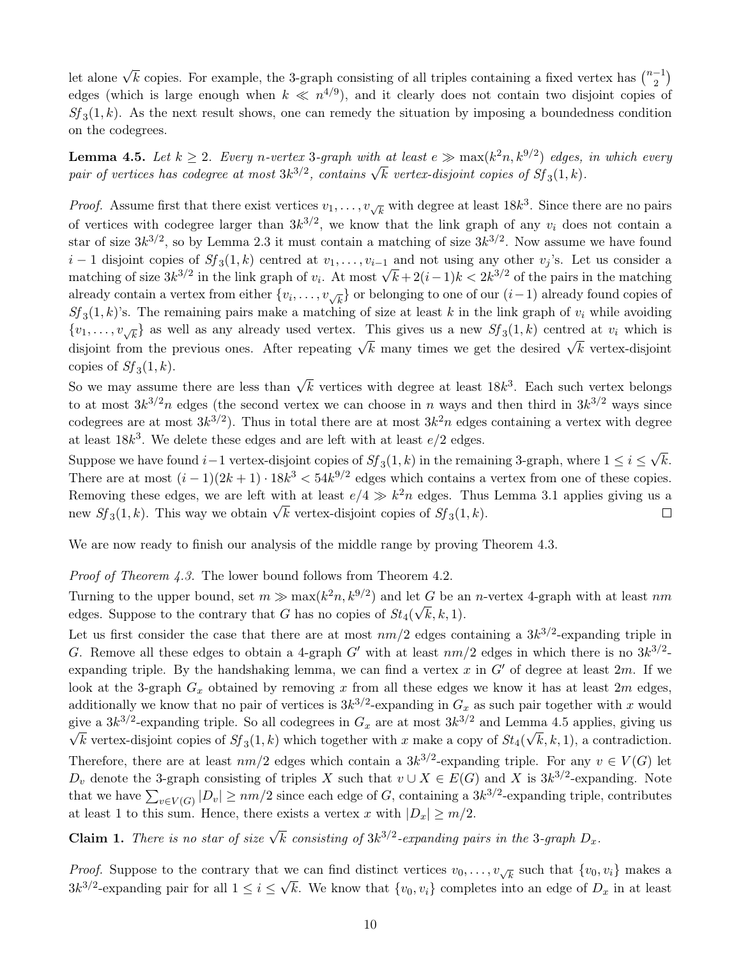let alone  $\sqrt{k}$  copies. For example, the 3-graph consisting of all triples containing a fixed vertex has  $\binom{n-1}{2}$  $\binom{-1}{2}$ edges (which is large enough when  $k \ll n^{4/9}$ ), and it clearly does not contain two disjoint copies of  $Sf_3(1,k)$ . As the next result shows, one can remedy the situation by imposing a boundedness condition on the codegrees.

<span id="page-9-0"></span>**Lemma 4.5.** Let  $k \geq 2$ . Every n-vertex 3-graph with at least  $e \gg \max(k^2 n, k^{9/2})$  edges, in which every **Definite 4.3.** Let  $\kappa \geq 2$ . Every n-vertex 3-graph with at teast  $e \gg \max(\kappa | n, \kappa^{\gamma})$  eages, pair of vertices has codegree at most  $3k^{3/2}$ , contains  $\sqrt{k}$  vertex-disjoint copies of  $Sf_3(1, k)$ .

*Proof.* Assume first that there exist vertices  $v_1, \ldots, v_{\sqrt{k}}$  with degree at least 18k<sup>3</sup>. Since there are no pairs of vertices with codegree larger than  $3k^{3/2}$ , we know that the link graph of any  $v_i$  does not contain a star of size  $3k^{3/2}$ , so by Lemma [2.3](#page-3-0) it must contain a matching of size  $3k^{3/2}$ . Now assume we have found  $i-1$  disjoint copies of  $Sf_3(1,k)$  centred at  $v_1,\ldots,v_{i-1}$  and not using any other  $v_j$ 's. Let us consider a  $i = 1$  disjoint copies of  $5j_3(1, k)$  centred at  $v_1, \ldots, v_{i-1}$  and not using any other  $v_j$  s. Let us consider a matching of size  $3k^{3/2}$  in the link graph of  $v_i$ . At most  $\sqrt{k} + 2(i-1)k < 2k^{3/2}$  of the pairs in the already contain a vertex from either  $\{v_i, \ldots, v_{\sqrt{k}}\}$  or belonging to one of our  $(i-1)$  already found copies of  $Sf_3(1,k)$ 's. The remaining pairs make a matching of size at least k in the link graph of  $v_i$  while avoiding  $\{v_1,\ldots,v_{\sqrt{k}}\}\$ as well as any already used vertex. This gives us a new  $Sf_3(1,k)$  centred at  $v_i$  which is  $\{v_1, \ldots, v_{\sqrt{k}}\}$  as well as any ancially used vertex. This gives us a new  $D_3(1, k)$  centred at  $v_i$  which is disjoint from the previous ones. After repeating  $\sqrt{k}$  many times we get the desired  $\sqrt{k}$  vertex-disjoin copies of  $Sf_3(1,k)$ .

So we may assume there are less than  $\sqrt{k}$  vertices with degree at least 18k<sup>3</sup>. Each such vertex belongs to at most  $3k^{3/2}n$  edges (the second vertex we can choose in n ways and then third in  $3k^{3/2}$  ways since codegrees are at most  $3k^{3/2}$ ). Thus in total there are at most  $3k^2n$  edges containing a vertex with degree at least  $18k^3$ . We delete these edges and are left with at least  $e/2$  edges. √

Suppose we have found  $i-1$  vertex-disjoint copies of  $S_f(1, k)$  in the remaining 3-graph, where  $1 \leq i \leq k$ k. There are at most  $(i-1)(2k+1) \cdot 18k^3 < 54k^{9/2}$  edges which contains a vertex from one of these copies. Removing these edges, we are left with at least  $e/4 \gg k^2 n$  edges. Thus Lemma [3.1](#page-4-1) applies giving us a nemoving these edges, we are left with at least  $e/4 \gg \kappa n$  edges. Thus<br>new  $Sf_3(1,k)$ . This way we obtain  $\sqrt{k}$  vertex-disjoint copies of  $Sf_3(1,k)$ .  $\Box$ 

We are now ready to finish our analysis of the middle range by proving Theorem [4.3.](#page-8-0)

Proof of Theorem [4.3.](#page-8-0) The lower bound follows from Theorem [4.2.](#page-7-0)

Turning to the upper bound, set  $m \gg \max(k^2 n, k^{9/2})$  and let G be an n-vertex 4-graph with at least  $nm$ edges. Suppose to the contrary that G has no copies of  $St_4(\sqrt{k}, k, 1)$ .

Let us first consider the case that there are at most  $nm/2$  edges containing a  $3k^{3/2}$ -expanding triple in G. Remove all these edges to obtain a 4-graph G' with at least  $nm/2$  edges in which there is no  $3k^{3/2}$ expanding triple. By the handshaking lemma, we can find a vertex x in  $G'$  of degree at least 2m. If we look at the 3-graph  $G_x$  obtained by removing x from all these edges we know it has at least  $2m$  edges, additionally we know that no pair of vertices is  $3k^{3/2}$ -expanding in  $G_x$  as such pair together with x would give a  $3k^{3/2}$ -expanding triple. So all codegrees in  $G_x$  are at most  $3k^{3/2}$  and Lemma [4.5](#page-9-0) applies, giving us k vertex-disjoint copies of  $Sf_3(1,k)$  which together with x make a copy of  $St_4(\sqrt{k}, k, 1)$ , a contradiction. Therefore, there are at least  $nm/2$  edges which contain a  $3k^{3/2}$ -expanding triple. For any  $v \in V(G)$  let  $D_v$  denote the 3-graph consisting of triples X such that  $v \cup X \in E(G)$  and X is  $3k^{3/2}$ -expanding. Note that we have  $\sum_{v \in V(G)} |D_v| \ge nm/2$  since each edge of G, containing a  $3k^{3/2}$ -expanding triple, contributes at least 1 to this sum. Hence, there exists a vertex x with  $|D_x| \ge m/2$ .

<span id="page-9-1"></span>**Claim 1.** There is no star of size  $\sqrt{k}$  consisting of  $3k^{3/2}$ -expanding pairs in the 3-graph  $D_x$ .

*Proof.* Suppose to the contrary that we can find distinct vertices  $v_0, \ldots, v_{\sqrt{k}}$  such that  $\{v_0, v_i\}$  makes a  $3k^{3/2}$ -expanding pair for all  $1 \le i \le \sqrt{k}$ . We know that  $\{v_0, v_i\}$  completes into an edge of  $D_x$  in at least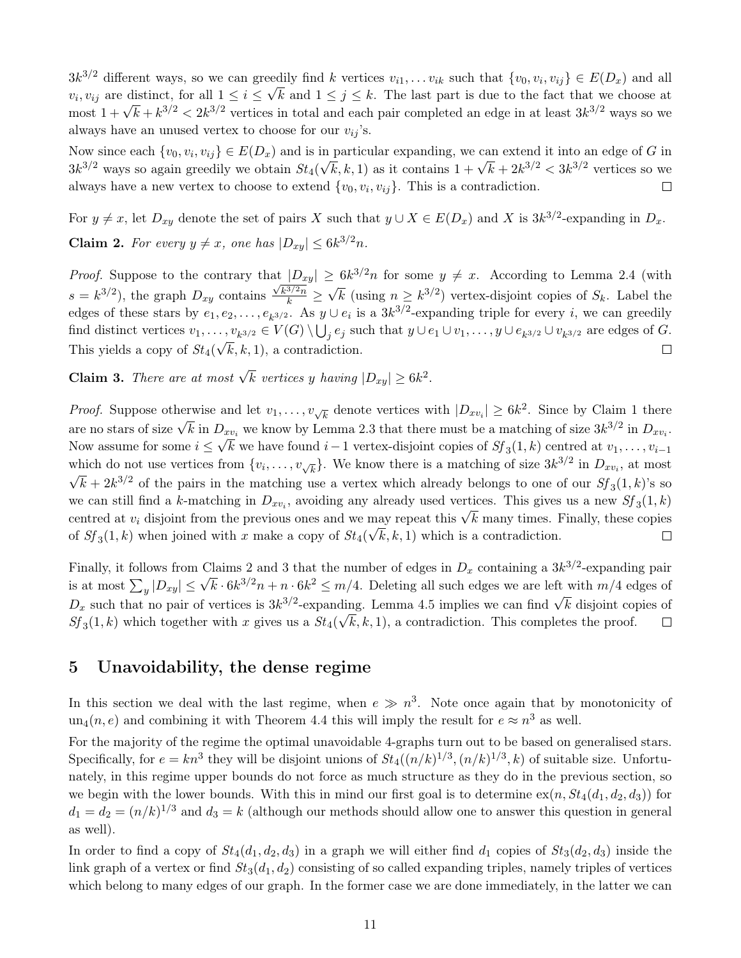$3k^{3/2}$  different ways, so we can greedily find k vertices  $v_{i1}, \ldots v_{ik}$  such that  $\{v_0, v_i, v_{ij}\} \in E(D_x)$  and all  $v_i, v_{ij}$  are distinct, for all  $1 \le i \le \sqrt{k}$  and  $1 \le j \le k$ . The last part is due to the fact that we choose at  $v_i, v_{ij}$  are distinct, for an  $1 \le i \le \sqrt{\kappa}$  and  $1 \le j \le \kappa$ . The last part is due to the fact that we choose at most  $1 + \sqrt{k} + k^{3/2} < 2k^{3/2}$  vertices in total and each pair completed an edge in at least  $3k^{3/2}$  ways always have an unused vertex to choose for our  $v_{ij}$ 's.

Now since each  $\{v_0, v_i, v_{ij}\} \in E(D_x)$  and is in particular expanding, we can extend it into an edge of G in Now since each  $\{v_0, v_i, v_{ij}\} \in E(D_x)$  and is in particular expanding, we can extend it mo an edge of G in  $3k^{3/2}$  ways so again greedily we obtain  $St_4(\sqrt{k}, k, 1)$  as it contains  $1 + \sqrt{k} + 2k^{3/2} < 3k^{3/2}$  vertices so we always have a new vertex to choose to extend  $\{v_0, v_i, v_{ij}\}.$  This is a contradiction.  $\Box$ 

<span id="page-10-1"></span>For  $y \neq x$ , let  $D_{xy}$  denote the set of pairs X such that  $y \cup X \in E(D_x)$  and X is  $3k^{3/2}$ -expanding in  $D_x$ . **Claim 2.** For every  $y \neq x$ , one has  $|D_{xy}| \leq 6k^{3/2}n$ .

*Proof.* Suppose to the contrary that  $|D_{xy}| \geq 6k^{3/2}n$  for some  $y \neq x$ . According to Lemma [2.4](#page-4-2) (with √  $s = k^{3/2}$ , the graph  $D_{xy}$  contains  $\frac{\sqrt{k^{3/2}n}}{k} \geq$  $\overline{k}$  (using  $n \geq k^{3/2}$ ) vertex-disjoint copies of  $S_k$ . Label the edges of these stars by  $e_1, e_2, \ldots, e_{k^{3/2}}$ . As  $y \cup e_i$  is a  $3k^{3/2}$ -expanding triple for every i, we can greedily find distinct vertices  $v_1, \ldots, v_{k^{3/2}} \in V(G) \setminus \bigcup_j e_j$  such that  $y \cup e_1 \cup v_1, \ldots, y \cup e_{k^{3/2}} \cup v_{k^{3/2}}$  are edges of  $G$ . This yields a copy of  $St_4(\sqrt{k}, k, 1)$ , a contradiction.  $\Box$ 

<span id="page-10-2"></span>**Claim 3.** There are at most  $\sqrt{k}$  vertices y having  $|D_{xy}| \geq 6k^2$ .

*Proof.* Suppose otherwise and let  $v_1, \ldots, v_{\sqrt{k}}$  denote vertices with  $|D_{xv_i}| \geq 6k^2$ . Since by Claim [1](#page-9-1) there are no stars of size  $\sqrt{k}$  in  $D_{xv_i}$  we know by Lemma [2.3](#page-3-0) that there must be a matching of size  $3k^{3/2}$  in  $D_{xv_i}$ . Now assume for some  $i \leq \sqrt{k}$  we have found  $i-1$  vertex-disjoint copies of  $Sf_3(1, k)$  centred at  $v_1, \ldots, v_{i-1}$ which do not use vertices from  $\{v_i, \ldots, v_{\sqrt{k}}\}$ . We know there is a matching of size  $3k^{3/2}$  in  $D_{xv_i}$ , at most  $\bar{k} + 2k^{3/2}$  of the pairs in the matching use a vertex which already belongs to one of our  $Sf_3(1, k)$ 's so we can still find a k-matching in  $D_{xv_i}$ , avoiding any already used vertices. This gives us a new  $Sf_3(1, k)$ we can still find a k-inatching in  $D_{xv_i}$ , avoiding any already used vertices. This gives us a flew  $D_J_3(1, \kappa)$  centred at  $v_i$  disjoint from the previous ones and we may repeat this  $\sqrt{k}$  many times. Finally, these of  $Sf_3(1,k)$  when joined with x make a copy of  $St_4(\sqrt{k}, k, 1)$  which is a contradiction.  $\Box$ 

Finally, it follows from Claims [2](#page-10-1) and [3](#page-10-2) that the number of edges in  $D_x$  containing a  $3k^{3/2}$ -expanding pair Finany, it follows from Claims 2 and 3 that the humber of edges in  $D_x$  containing a  $3k^{\gamma}$  -expanding pair<br>is at most  $\sum_y |D_{xy}| \leq \sqrt{k} \cdot 6k^{3/2}n + n \cdot 6k^2 \leq m/4$ . Deleting all such edges we are left with  $m/4$  edges of  $D_x$  such that no pair of vertices is  $3k^{3/2}$ -expanding. Lemma [4.5](#page-9-0) implies we can find  $\sqrt{k}$  disjoint copies of  $Sf_3(1,k)$  which together with x gives us a  $St_4(\sqrt{k}, k, 1)$ , a contradiction. This completes the proof.  $\Box$ 

## <span id="page-10-0"></span>5 Unavoidability, the dense regime

In this section we deal with the last regime, when  $e \gg n^3$ . Note once again that by monotonicity of  $un_4(n, e)$  and combining it with Theorem [4.4](#page-8-1) this will imply the result for  $e \approx n^3$  as well.

For the majority of the regime the optimal unavoidable 4-graphs turn out to be based on generalised stars. Specifically, for  $e = kn^3$  they will be disjoint unions of  $St_4((n/k)^{1/3}, (n/k)^{1/3}, k)$  of suitable size. Unfortunately, in this regime upper bounds do not force as much structure as they do in the previous section, so we begin with the lower bounds. With this in mind our first goal is to determine  $ex(n, St_4(d_1, d_2, d_3))$  for  $d_1 = d_2 = (n/k)^{1/3}$  and  $d_3 = k$  (although our methods should allow one to answer this question in general as well).

In order to find a copy of  $St_4(d_1, d_2, d_3)$  in a graph we will either find  $d_1$  copies of  $St_3(d_2, d_3)$  inside the link graph of a vertex or find  $St_3(d_1, d_2)$  consisting of so called expanding triples, namely triples of vertices which belong to many edges of our graph. In the former case we are done immediately, in the latter we can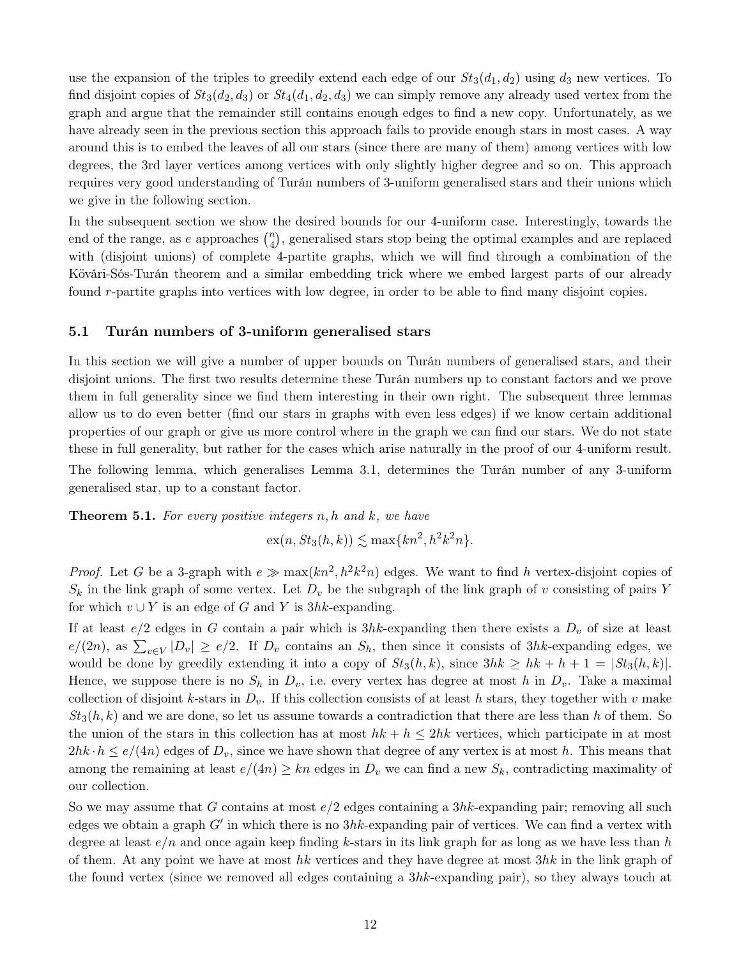use the expansion of the triples to greedily extend each edge of our  $St_3(d_1, d_2)$  using  $d_3$  new vertices. To find disjoint copies of  $St_3(d_2, d_3)$  or  $St_4(d_1, d_2, d_3)$  we can simply remove any already used vertex from the graph and argue that the remainder still contains enough edges to find a new copy. Unfortunately, as we have already seen in the previous section this approach fails to provide enough stars in most cases. A way around this is to embed the leaves of all our stars (since there are many of them) among vertices with low degrees, the 3rd layer vertices among vertices with only slightly higher degree and so on. This approach requires very good understanding of Turán numbers of 3-uniform generalised stars and their unions which we give in the following section.

In the subsequent section we show the desired bounds for our 4-uniform case. Interestingly, towards the end of the range, as e approaches  $\binom{n}{4}$  $\binom{n}{4}$ , generalised stars stop being the optimal examples and are replaced with (disjoint unions) of complete 4-partite graphs, which we will find through a combination of the Kövári-Sós-Turán theorem and a similar embedding trick where we embed largest parts of our already found r-partite graphs into vertices with low degree, in order to be able to find many disjoint copies.

#### <span id="page-11-0"></span>5.1 Turán numbers of 3-uniform generalised stars

In this section we will give a number of upper bounds on Turán numbers of generalised stars, and their disjoint unions. The first two results determine these Turán numbers up to constant factors and we prove them in full generality since we find them interesting in their own right. The subsequent three lemmas allow us to do even better (find our stars in graphs with even less edges) if we know certain additional properties of our graph or give us more control where in the graph we can find our stars. We do not state these in full generality, but rather for the cases which arise naturally in the proof of our 4-uniform result. The following lemma, which generalises Lemma [3.1,](#page-4-1) determines the Turán number of any 3-uniform generalised star, up to a constant factor.

<span id="page-11-1"></span>**Theorem 5.1.** For every positive integers  $n, h$  and  $k$ , we have

 $\mathrm{ex}(n, St_3(h, k)) \lesssim \max\{kn^2, h^2k^2n\}.$ 

*Proof.* Let G be a 3-graph with  $e \gg \max(kn^2, h^2k^2n)$  edges. We want to find h vertex-disjoint copies of  $S_k$  in the link graph of some vertex. Let  $D_v$  be the subgraph of the link graph of v consisting of pairs Y for which  $v \cup Y$  is an edge of G and Y is 3hk-expanding.

If at least  $e/2$  edges in G contain a pair which is  $3hk$ -expanding then there exists a  $D_v$  of size at least  $e/(2n)$ , as  $\sum_{v\in V}|D_v| \ge e/2$ . If  $D_v$  contains an  $S_h$ , then since it consists of 3hk-expanding edges, we would be done by greedily extending it into a copy of  $St_3(h, k)$ , since  $3hk \geq hk + h + 1 = |St_3(h, k)|$ . Hence, we suppose there is no  $S_h$  in  $D_v$ , i.e. every vertex has degree at most h in  $D_v$ . Take a maximal collection of disjoint k-stars in  $D_v$ . If this collection consists of at least h stars, they together with v make  $St_3(h, k)$  and we are done, so let us assume towards a contradiction that there are less than h of them. So the union of the stars in this collection has at most  $hk + h \leq 2hk$  vertices, which participate in at most  $2hk \cdot h \leq e/(4n)$  edges of  $D_v$ , since we have shown that degree of any vertex is at most h. This means that among the remaining at least  $e/(4n) \geq kn$  edges in  $D_v$  we can find a new  $S_k$ , contradicting maximality of our collection.

So we may assume that G contains at most  $e/2$  edges containing a 3hk-expanding pair; removing all such edges we obtain a graph  $G'$  in which there is no  $3hk$ -expanding pair of vertices. We can find a vertex with degree at least  $e/n$  and once again keep finding k-stars in its link graph for as long as we have less than h of them. At any point we have at most hk vertices and they have degree at most  $3hk$  in the link graph of the found vertex (since we removed all edges containing a 3hk-expanding pair), so they always touch at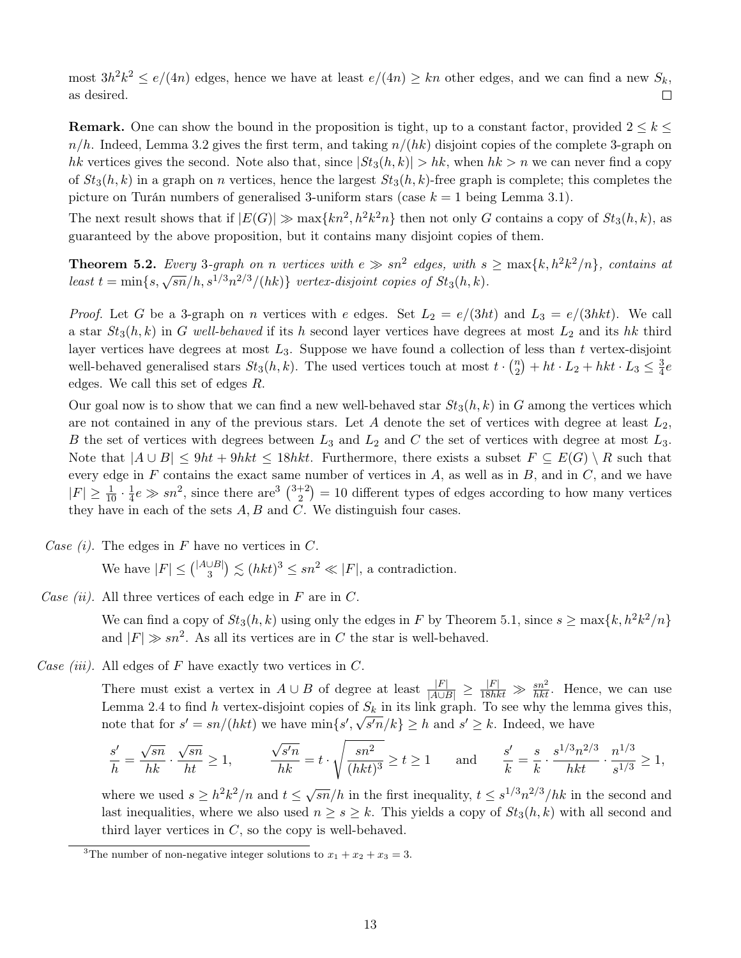most  $3h^2k^2 \le e/(4n)$  edges, hence we have at least  $e/(4n) \ge kn$  other edges, and we can find a new  $S_k$ , as desired.  $\Box$ 

**Remark.** One can show the bound in the proposition is tight, up to a constant factor, provided  $2 \leq k \leq$  $n/h$ . Indeed, Lemma [3.2](#page-4-3) gives the first term, and taking  $n/(hk)$  disjoint copies of the complete 3-graph on hk vertices gives the second. Note also that, since  $|St_3(h, k)| > hk$ , when  $hk > n$  we can never find a copy of  $St_3(h, k)$  in a graph on *n* vertices, hence the largest  $St_3(h, k)$ -free graph is complete; this completes the picture on Turán numbers of generalised 3-uniform stars (case  $k = 1$  being Lemma [3.1\)](#page-4-1).

The next result shows that if  $|E(G)| \gg \max\{kn^2, h^2k^2n\}$  then not only G contains a copy of  $St_3(h, k)$ , as guaranteed by the above proposition, but it contains many disjoint copies of them.

<span id="page-12-1"></span>**Theorem 5.2.** Every 3-graph on n vertices with  $e \gg sn^2$  edges, with  $s \geq max\{k, h^2k^2/n\}$ , contains at **THEOTEM 0.2.** Every 9-graph on *n* vertices with  $e \gg \frac{1}{2}$  cages, with  $s$ <br>least  $t = \min\{s, \sqrt{\frac{sn}{h}}, s^{1/3}n^{2/3}/(hk)\}$  vertex-disjoint copies of  $St_3(h, k)$ .

*Proof.* Let G be a 3-graph on n vertices with e edges. Set  $L_2 = e/(3ht)$  and  $L_3 = e/(3hkt)$ . We call a star  $St_3(h, k)$  in G well-behaved if its h second layer vertices have degrees at most  $L_2$  and its hk third layer vertices have degrees at most  $L_3$ . Suppose we have found a collection of less than t vertex-disjoint well-behaved generalised stars  $St_3(h, k)$ . The used vertices touch at most  $t \cdot \binom{n}{2}$  $\binom{n}{2} + ht \cdot L_2 + hkt \cdot L_3 \leq \frac{3}{4}$  $rac{3}{4}e$ edges. We call this set of edges R.

Our goal now is to show that we can find a new well-behaved star  $St_3(h, k)$  in G among the vertices which are not contained in any of the previous stars. Let A denote the set of vertices with degree at least  $L_2$ , B the set of vertices with degrees between  $L_3$  and  $L_2$  and C the set of vertices with degree at most  $L_3$ . Note that  $|A \cup B| \le 9ht + 9hkt \le 18hkt$ . Furthermore, there exists a subset  $F \subseteq E(G) \setminus R$  such that every edge in  $F$  contains the exact same number of vertices in  $A$ , as well as in  $B$ , and in  $C$ , and we have  $|F| \geq \frac{1}{10} \cdot \frac{1}{4}$  $\frac{1}{4}e \gg sn^2$ , since there are<sup>[3](#page-12-0)</sup>  $\binom{3+2}{2}$  $\binom{+2}{2}$  = 10 different types of edges according to how many vertices they have in each of the sets  $A, B$  and  $C$ . We distinguish four cases.

Case  $(i)$ . The edges in F have no vertices in C.

We have  $|F| \leq {\binom{|A \cup B|}{3}}$  $\left|\frac{\cup B}{3}\right| \lesssim (hkt)^3 \le sn^2 \ll |F|$ , a contradiction.

Case (ii). All three vertices of each edge in  $F$  are in  $C$ .

We can find a copy of  $St_3(h, k)$  using only the edges in F by Theorem [5.1,](#page-11-1) since  $s \ge \max\{k, h^2k^2/n\}$ and  $|F| \gg sn^2$ . As all its vertices are in C the star is well-behaved.

Case *(iii)*. All edges of F have exactly two vertices in C.

There must exist a vertex in  $A \cup B$  of degree at least  $\frac{|F|}{|A \cup B|} \ge \frac{|F|}{18hkt} \gg \frac{sn^2}{hkt}$ . Hence, we can use Lemma [2.4](#page-4-2) to find h vertex-disjoint copies of  $S_k$  in its link graph. To see why the lemma gives this, note that for  $s' = sn/(hkt)$  we have  $\min\{s', \sqrt{s'n}/k\} \geq h$  and  $s' \geq k$ . Indeed, we have

$$
\frac{s'}{h} = \frac{\sqrt{sn}}{hk} \cdot \frac{\sqrt{sn}}{ht} \ge 1, \qquad \frac{\sqrt{s'n}}{hk} = t \cdot \sqrt{\frac{sn^2}{(hkt)^3}} \ge t \ge 1 \qquad \text{and} \qquad \frac{s'}{k} = \frac{s}{k} \cdot \frac{s^{1/3}n^{2/3}}{hkt} \cdot \frac{n^{1/3}}{s^{1/3}} \ge 1,
$$

where we used  $s \geq h^2 k^2/n$  and  $t \leq \sqrt{sn}/h$  in the first inequality,  $t \leq s^{1/3} n^{2/3}/hk$  in the second and last inequalities, where we also used  $n \geq s \geq k$ . This yields a copy of  $St_3(h, k)$  with all second and third layer vertices in  $C$ , so the copy is well-behaved.

<span id="page-12-0"></span><sup>&</sup>lt;sup>3</sup>The number of non-negative integer solutions to  $x_1 + x_2 + x_3 = 3$ .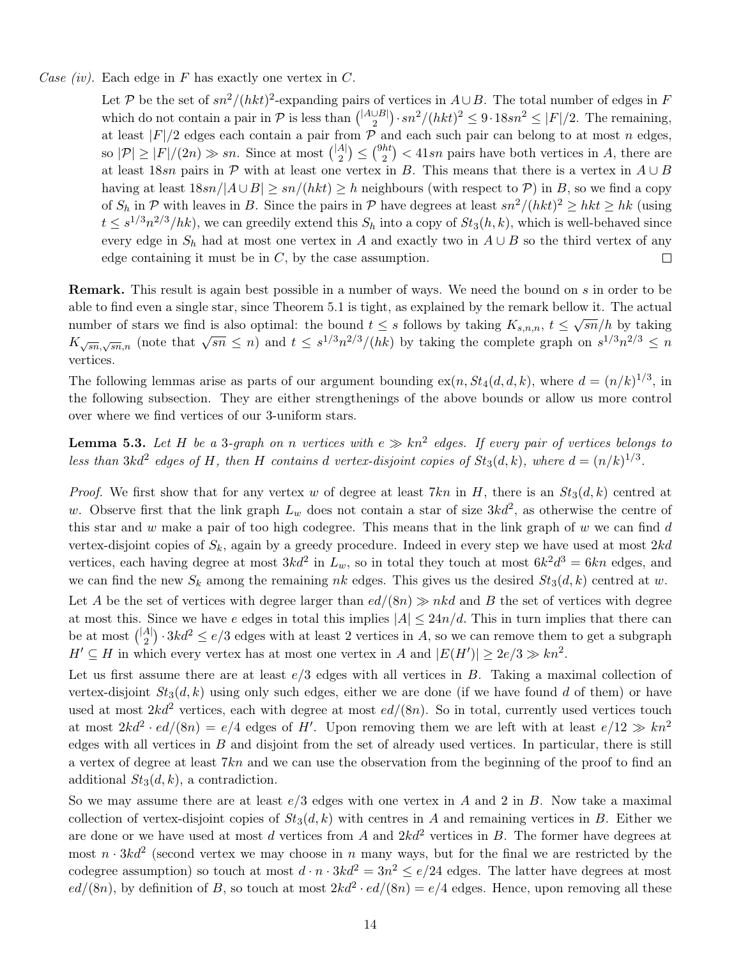Case (iv). Each edge in F has exactly one vertex in C.

Let P be the set of  $sn^2/(hkt)^2$ -expanding pairs of vertices in  $A\cup B$ . The total number of edges in F which do not contain a pair in  $\mathcal P$  is less than  $\binom{|\mathcal{A}\cup\mathcal{B}|}{2}$  $\binom{\cup B}{2} \cdot sn^2/(hkt)^2 \leq 9 \cdot 18sn^2 \leq |F|/2$ . The remaining, at least  $|F|/2$  edges each contain a pair from  $\mathcal P$  and each such pair can belong to at most n edges, so  $|\mathcal{P}| \geq |F|/(2n) \gg sn$ . Since at most  $\binom{|A|}{2}$  $\binom{A}{2} \leq \binom{9ht}{2}$  $\binom{ht}{2}$  < 41sn pairs have both vertices in A, there are at least 18sn pairs in  $\mathcal P$  with at least one vertex in B. This means that there is a vertex in  $A \cup B$ having at least  $18\pi/|A\cup B| > \pi/(hkt) > h$  neighbours (with respect to P) in B, so we find a copy of  $S_h$  in P with leaves in B. Since the pairs in P have degrees at least  $sn^2/(hkt)^2 \geq hkt \geq hk$  (using  $t \leq s^{1/3} n^{2/3}/hk$ , we can greedily extend this  $S_h$  into a copy of  $St_3(h, k)$ , which is well-behaved since every edge in  $S_h$  had at most one vertex in A and exactly two in  $A \cup B$  so the third vertex of any edge containing it must be in  $C$ , by the case assumption.  $\Box$ 

Remark. This result is again best possible in a number of ways. We need the bound on s in order to be able to find even a single star, since Theorem [5.1](#page-11-1) is tight, as explained by the remark bellow it. The actual number of stars we find is also optimal: the bound  $t \leq s$  follows by taking  $K_{s,n,n}$ ,  $t \leq \sqrt{sn}/h$  by taking Mannot of stars we find is also optimal. The bound  $t \leq s$  follows by taking  $R_{s,n,n}$ ,  $t \leq \sqrt{sn}/n$  by taking  $K_{\sqrt{sn},\sqrt{sn},n}$  (note that  $\sqrt{sn} \leq n$ ) and  $t \leq s^{1/3}n^{2/3}/(hk)$  by taking the complete graph on  $s^{1/3}n^{2/3$ vertices.

The following lemmas arise as parts of our argument bounding  $ex(n, St_4(d, d, k))$ , where  $d = (n/k)^{1/3}$ , in the following subsection. They are either strengthenings of the above bounds or allow us more control over where we find vertices of our 3-uniform stars.

<span id="page-13-0"></span>**Lemma 5.3.** Let H be a 3-graph on n vertices with  $e \gg kn^2$  edges. If every pair of vertices belongs to less than 3kd<sup>2</sup> edges of H, then H contains d vertex-disjoint copies of  $St_3(d, k)$ , where  $d = (n/k)^{1/3}$ .

*Proof.* We first show that for any vertex w of degree at least 7kn in H, there is an  $St_3(d, k)$  centred at w. Observe first that the link graph  $L_w$  does not contain a star of size  $3kd^2$ , as otherwise the centre of this star and w make a pair of too high codegree. This means that in the link graph of w we can find  $d$ vertex-disjoint copies of  $S_k$ , again by a greedy procedure. Indeed in every step we have used at most  $2kd$ vertices, each having degree at most  $3kd^2$  in  $L_w$ , so in total they touch at most  $6k^2d^3 = 6kn$  edges, and we can find the new  $S_k$  among the remaining nk edges. This gives us the desired  $St_3(d, k)$  centred at w.

Let A be the set of vertices with degree larger than  $ed/(8n) \gg nkd$  and B the set of vertices with degree at most this. Since we have e edges in total this implies  $|A| \leq 24n/d$ . This in turn implies that there can be at most  $\binom{|A|}{2}$  $\binom{A}{2} \cdot 3kd^2 \leq e/3$  edges with at least 2 vertices in A, so we can remove them to get a subgraph  $H' \subseteq H$  in which every vertex has at most one vertex in A and  $|E(H')| \geq 2e/3 \gg kn^2$ .

Let us first assume there are at least  $e/3$  edges with all vertices in B. Taking a maximal collection of vertex-disjoint  $St_3(d, k)$  using only such edges, either we are done (if we have found d of them) or have used at most  $2kd^2$  vertices, each with degree at most  $ed/(8n)$ . So in total, currently used vertices touch at most  $2kd^2 \cdot ed/(8n) = e/4$  edges of H'. Upon removing them we are left with at least  $e/12 \gg kn^2$ edges with all vertices in  $B$  and disjoint from the set of already used vertices. In particular, there is still a vertex of degree at least 7kn and we can use the observation from the beginning of the proof to find an additional  $St_3(d, k)$ , a contradiction.

So we may assume there are at least  $e/3$  edges with one vertex in A and 2 in B. Now take a maximal collection of vertex-disjoint copies of  $St_3(d, k)$  with centres in A and remaining vertices in B. Either we are done or we have used at most d vertices from A and  $2kd^2$  vertices in B. The former have degrees at most  $n \cdot 3kd^2$  (second vertex we may choose in n many ways, but for the final we are restricted by the codegree assumption) so touch at most  $d \cdot n \cdot 3kd^2 = 3n^2 \le e/24$  edges. The latter have degrees at most  $ed/(8n)$ , by definition of B, so touch at most  $2kd^2 \cdot ed/(8n) = e/4$  edges. Hence, upon removing all these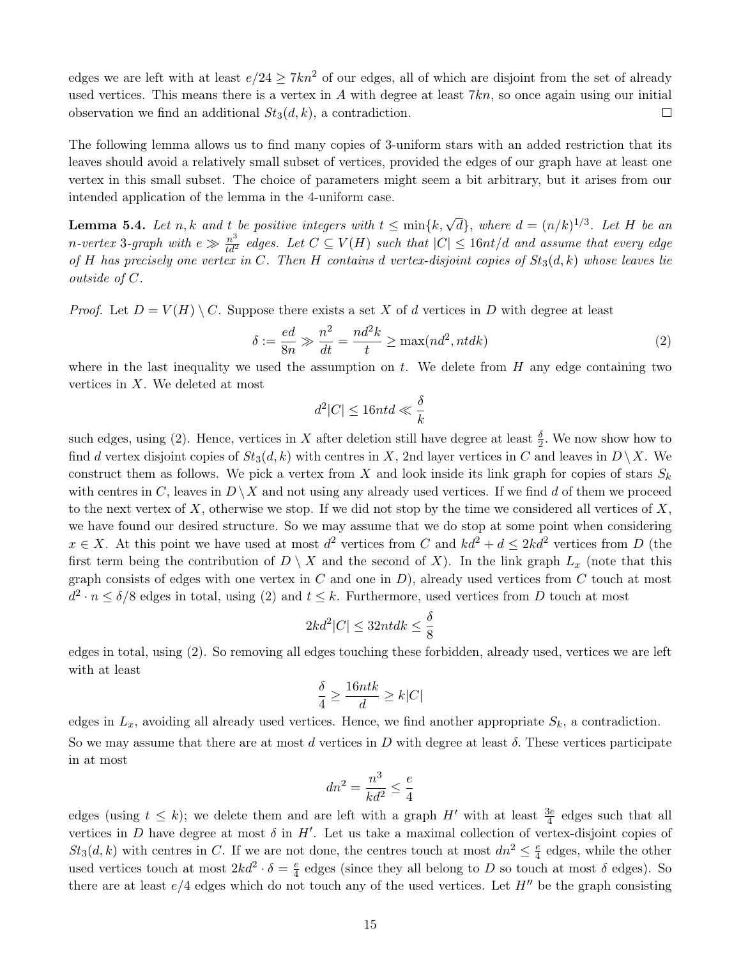edges we are left with at least  $e/24 \geq 7kn^2$  of our edges, all of which are disjoint from the set of already used vertices. This means there is a vertex in A with degree at least  $7kn$ , so once again using our initial observation we find an additional  $St_3(d, k)$ , a contradiction.  $\Box$ 

The following lemma allows us to find many copies of 3-uniform stars with an added restriction that its leaves should avoid a relatively small subset of vertices, provided the edges of our graph have at least one vertex in this small subset. The choice of parameters might seem a bit arbitrary, but it arises from our intended application of the lemma in the 4-uniform case.

<span id="page-14-1"></span>**Lemma 5.4.** Let n, k and t be positive integers with  $t \leq \min\{k, \sqrt{d}\}$ , where  $d = (n/k)^{1/3}$ . Let H be an n-vertex 3-graph with  $e \gg \frac{n^3}{td^2}$  edges. Let  $C \subseteq V(H)$  such that  $|C| \leq 16nt/d$  and assume that every edge of H has precisely one vertex in C. Then H contains d vertex-disjoint copies of  $St_3(d, k)$  whose leaves lie outside of C.

*Proof.* Let  $D = V(H) \setminus C$ . Suppose there exists a set X of d vertices in D with degree at least

<span id="page-14-0"></span>
$$
\delta := \frac{ed}{8n} \gg \frac{n^2}{dt} = \frac{nd^2k}{t} \ge \max(nd^2, ntdk)
$$
\n(2)

where in the last inequality we used the assumption on t. We delete from  $H$  any edge containing two vertices in X. We deleted at most

$$
d^2|C| \le 16ntd \ll \frac{\delta}{k}
$$

such edges, using [\(2\)](#page-14-0). Hence, vertices in X after deletion still have degree at least  $\frac{\delta}{2}$ . We now show how to find d vertex disjoint copies of  $St_3(d, k)$  with centres in X, 2nd layer vertices in C and leaves in  $D \setminus X$ . We construct them as follows. We pick a vertex from X and look inside its link graph for copies of stars  $S_k$ with centres in C, leaves in  $D \setminus X$  and not using any already used vertices. If we find d of them we proceed to the next vertex of X, otherwise we stop. If we did not stop by the time we considered all vertices of X, we have found our desired structure. So we may assume that we do stop at some point when considering  $x \in X$ . At this point we have used at most  $d^2$  vertices from C and  $kd^2 + d \leq 2kd^2$  vertices from D (the first term being the contribution of  $D \setminus X$  and the second of X). In the link graph  $L_x$  (note that this graph consists of edges with one vertex in  $C$  and one in  $D$ ), already used vertices from  $C$  touch at most  $d^2 \cdot n \le \delta/8$  edges in total, using [\(2\)](#page-14-0) and  $t \le k$ . Furthermore, used vertices from D touch at most

$$
2kd^2|C| \le 32nt dk \le \frac{\delta}{8}
$$

edges in total, using [\(2\)](#page-14-0). So removing all edges touching these forbidden, already used, vertices we are left with at least

$$
\frac{\delta}{4} \ge \frac{16ntk}{d} \ge k|C|
$$

edges in  $L_x$ , avoiding all already used vertices. Hence, we find another appropriate  $S_k$ , a contradiction. So we may assume that there are at most d vertices in  $D$  with degree at least  $\delta$ . These vertices participate in at most

$$
dn^2 = \frac{n^3}{kd^2} \le \frac{e}{4}
$$

edges (using  $t \leq k$ ); we delete them and are left with a graph  $H'$  with at least  $\frac{3e}{4}$  edges such that all vertices in D have degree at most  $\delta$  in H'. Let us take a maximal collection of vertex-disjoint copies of  $St_3(d, k)$  with centres in C. If we are not done, the centres touch at most  $dn^2 \leq \frac{e}{4}$  $\frac{e}{4}$  edges, while the other used vertices touch at most  $2kd^2 \cdot \delta = \frac{e}{4}$  $\frac{e}{4}$  edges (since they all belong to D so touch at most  $\delta$  edges). So there are at least  $e/4$  edges which do not touch any of the used vertices. Let  $H''$  be the graph consisting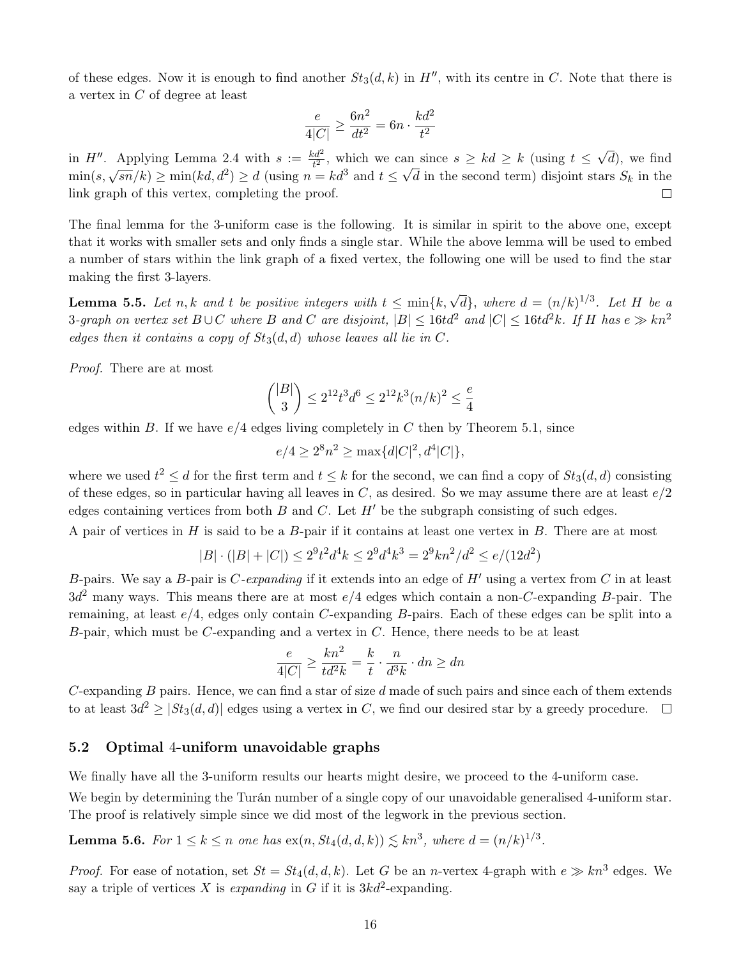of these edges. Now it is enough to find another  $St_3(d, k)$  in  $H''$ , with its centre in C. Note that there is a vertex in C of degree at least

$$
\frac{e}{4|C|} \ge \frac{6n^2}{dt^2} = 6n \cdot \frac{kd^2}{t^2}
$$

√ in H''. Applying Lemma [2.4](#page-4-2) with  $s := \frac{kd^2}{t^2}$ , which we can since  $s \geq kd \geq k$  (using  $t \leq$ an since  $s \geq kd \geq k$  (using  $t \leq \sqrt{d}$ ), we find m  $H:$  Applying Edmina 2.4 with  $s := \frac{1}{t^2}$ , which we can since  $s \geq na \leq n$  (using  $t \leq \sqrt{a}$ ), we find<br>min $(s, \sqrt{sn}/k) \geq \min(kd, d^2) \geq d$  (using  $n = kd^3$  and  $t \leq \sqrt{d}$  in the second term) disjoint stars  $S_k$  in the link graph of this vertex, completing the proof.  $\Box$ 

The final lemma for the 3-uniform case is the following. It is similar in spirit to the above one, except that it works with smaller sets and only finds a single star. While the above lemma will be used to embed a number of stars within the link graph of a fixed vertex, the following one will be used to find the star making the first 3-layers.

<span id="page-15-2"></span>**Lemma 5.5.** Let n, k and t be positive integers with  $t \leq \min\{k, \sqrt{d}\}$ , where  $d = (n/k)^{1/3}$ . Let H be a 3-graph on vertex set  $B \cup C$  where B and C are disjoint,  $|B| \leq 16t d^2$  and  $|C| \leq 16t d^2 k$ . If H has  $e \gg k n^2$ edges then it contains a copy of  $St_3(d,d)$  whose leaves all lie in C.

Proof. There are at most

$$
\binom{|B|}{3} \le 2^{12} t^3 d^6 \le 2^{12} k^3 (n/k)^2 \le \frac{e}{4}
$$

edges within B. If we have  $e/4$  edges living completely in C then by Theorem [5.1,](#page-11-1) since

 $e/4 \geq 2^8 n^2 \geq \max\{d|C|^2, d^4|C|\},$ 

where we used  $t^2 \le d$  for the first term and  $t \le k$  for the second, we can find a copy of  $St_3(d, d)$  consisting of these edges, so in particular having all leaves in  $C$ , as desired. So we may assume there are at least  $e/2$ edges containing vertices from both  $B$  and  $C$ . Let  $H'$  be the subgraph consisting of such edges.

A pair of vertices in  $H$  is said to be a  $B$ -pair if it contains at least one vertex in  $B$ . There are at most

$$
|B| \cdot (|B| + |C|) \le 2^9 t^2 d^4 k \le 2^9 d^4 k^3 = 2^9 k n^2 / d^2 \le e / (12d^2)
$$

B-pairs. We say a B-pair is C-expanding if it extends into an edge of  $H'$  using a vertex from C in at least  $3d^2$  many ways. This means there are at most  $e/4$  edges which contain a non-C-expanding B-pair. The remaining, at least  $e/4$ , edges only contain C-expanding B-pairs. Each of these edges can be split into a  $B$ -pair, which must be  $C$ -expanding and a vertex in  $C$ . Hence, there needs to be at least

$$
\frac{e}{4|C|} \ge \frac{kn^2}{td^2k} = \frac{k}{t} \cdot \frac{n}{d^3k} \cdot dn \ge dn
$$

C-expanding  $B$  pairs. Hence, we can find a star of size  $d$  made of such pairs and since each of them extends to at least  $3d^2 \geq |St_3(d, d)|$  edges using a vertex in C, we find our desired star by a greedy procedure.

#### <span id="page-15-0"></span>5.2 Optimal 4-uniform unavoidable graphs

We finally have all the 3-uniform results our hearts might desire, we proceed to the 4-uniform case.

We begin by determining the Turán number of a single copy of our unavoidable generalised 4-uniform star. The proof is relatively simple since we did most of the legwork in the previous section.

<span id="page-15-1"></span>**Lemma 5.6.** For  $1 \leq k \leq n$  one has  $ex(n, St_4(d, d, k)) \lesssim kn^3$ , where  $d = (n/k)^{1/3}$ .

*Proof.* For ease of notation, set  $St = St_4(d, d, k)$ . Let G be an *n*-vertex 4-graph with  $e \gg kn^3$  edges. We say a triple of vertices X is expanding in G if it is  $3kd^2$ -expanding.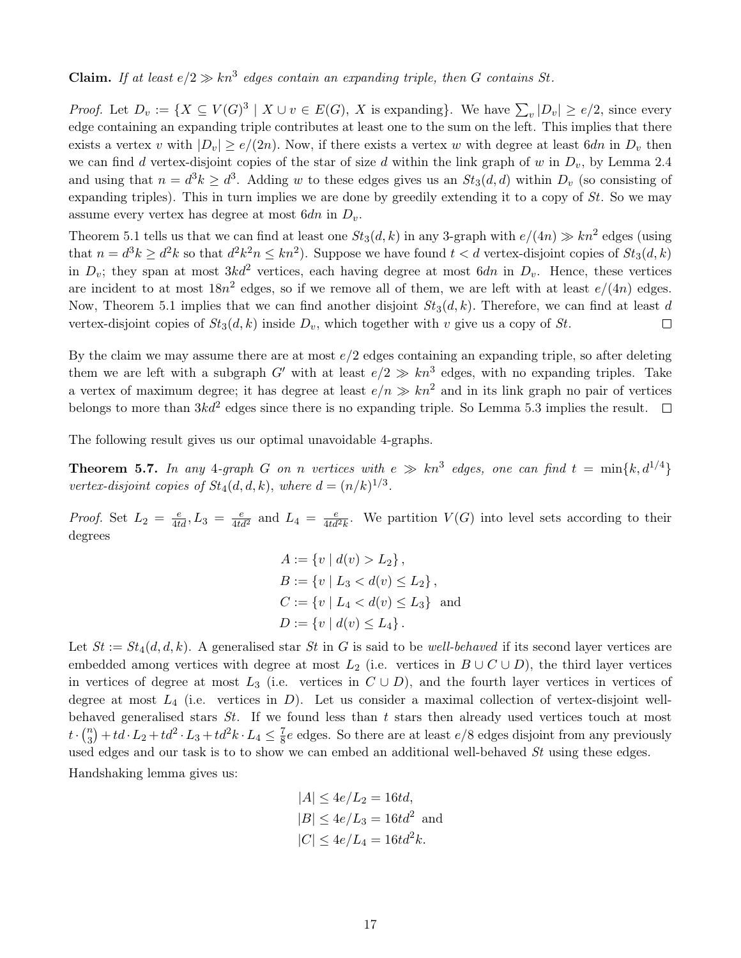**Claim.** If at least  $e/2 \gg kn^3$  edges contain an expanding triple, then G contains St.

*Proof.* Let  $D_v := \{ X \subseteq V(G)^3 \mid X \cup v \in E(G), X \text{ is expanding} \}.$  We have  $\sum_{v} |D_v| \ge e/2$ , since every edge containing an expanding triple contributes at least one to the sum on the left. This implies that there exists a vertex v with  $|D_v| \ge e/(2n)$ . Now, if there exists a vertex w with degree at least 6dn in  $D_v$  then we can find d vertex-disjoint copies of the star of size d within the link graph of w in  $D_v$ , by Lemma [2.4](#page-4-2) and using that  $n = d^3k \geq d^3$ . Adding w to these edges gives us an  $St_3(d, d)$  within  $D_v$  (so consisting of expanding triples). This in turn implies we are done by greedily extending it to a copy of  $St$ . So we may assume every vertex has degree at most  $6dn$  in  $D_v$ .

Theorem [5.1](#page-11-1) tells us that we can find at least one  $St_3(d, k)$  in any 3-graph with  $e/(4n) \gg kn^2$  edges (using that  $n = d^3k \geq d^2k$  so that  $d^2k^2n \leq kn^2$ ). Suppose we have found  $t < d$  vertex-disjoint copies of  $St_3(d, k)$ in  $D_v$ ; they span at most  $3kd^2$  vertices, each having degree at most  $6dn$  in  $D_v$ . Hence, these vertices are incident to at most  $18n^2$  edges, so if we remove all of them, we are left with at least  $e/(4n)$  edges. Now, Theorem [5.1](#page-11-1) implies that we can find another disjoint  $St_3(d, k)$ . Therefore, we can find at least d vertex-disjoint copies of  $St_3(d, k)$  inside  $D_v$ , which together with v give us a copy of St.  $\Box$ 

By the claim we may assume there are at most  $e/2$  edges containing an expanding triple, so after deleting them we are left with a subgraph G' with at least  $e/2 \gg kn^3$  edges, with no expanding triples. Take a vertex of maximum degree; it has degree at least  $e/n \gg kn^2$  and in its link graph no pair of vertices belongs to more than  $3kd^2$  edges since there is no expanding triple. So Lemma [5.3](#page-13-0) implies the result.

<span id="page-16-0"></span>The following result gives us our optimal unavoidable 4-graphs.

**Theorem 5.7.** In any 4-graph G on n vertices with  $e \gg kn^3$  edges, one can find  $t = min\{k, d^{1/4}\}\$ vertex-disjoint copies of  $St_4(d, d, k)$ , where  $d = (n/k)^{1/3}$ .

*Proof.* Set  $L_2 = \frac{e}{4td}$ ,  $L_3 = \frac{e}{4td^2}$  and  $L_4 = \frac{e}{4td^2k}$ . We partition  $V(G)$  into level sets according to their degrees

$$
A := \{v \mid d(v) > L_2\},\
$$
  
\n
$$
B := \{v \mid L_3 < d(v) \le L_2\},\
$$
  
\n
$$
C := \{v \mid L_4 < d(v) \le L_3\} \text{ and}
$$
  
\n
$$
D := \{v \mid d(v) \le L_4\}.
$$

Let  $St := St_4(d, d, k)$ . A generalised star St in G is said to be well-behaved if its second layer vertices are embedded among vertices with degree at most  $L_2$  (i.e. vertices in  $B \cup C \cup D$ ), the third layer vertices in vertices of degree at most  $L_3$  (i.e. vertices in  $C \cup D$ ), and the fourth layer vertices in vertices of degree at most  $L_4$  (i.e. vertices in D). Let us consider a maximal collection of vertex-disjoint wellbehaved generalised stars  $St$ . If we found less than t stars then already used vertices touch at most  $t\cdot\binom{n}{3}$  $\binom{n}{3} + td \cdot L_2 + td^2 \cdot L_3 + td^2k \cdot L_4 \leq \frac{7}{8}$  $\frac{7}{8}e$  edges. So there are at least  $e/8$  edges disjoint from any previously used edges and our task is to to show we can embed an additional well-behaved St using these edges.

Handshaking lemma gives us:

$$
|A| \le 4e/L_2 = 16td,
$$
  
\n
$$
|B| \le 4e/L_3 = 16td^2
$$
 and  
\n
$$
|C| \le 4e/L_4 = 16td^2k.
$$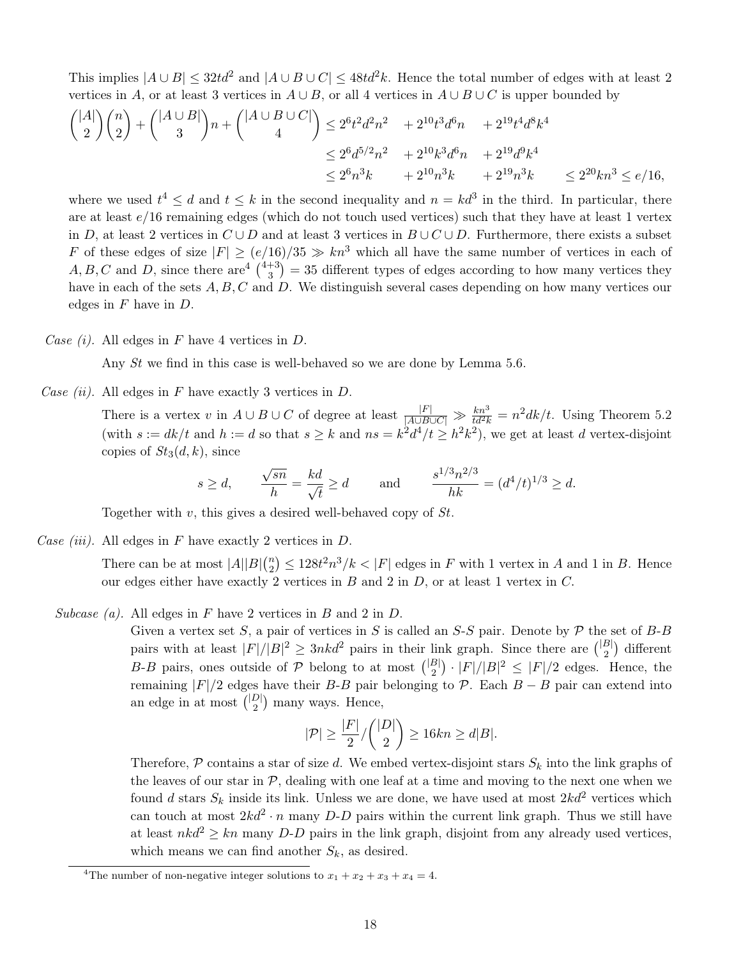This implies  $|A \cup B| \leq 32td^2$  and  $|A \cup B \cup C| \leq 48td^2k$ . Hence the total number of edges with at least 2 vertices in A, or at least 3 vertices in  $A \cup B$ , or all 4 vertices in  $A \cup B \cup C$  is upper bounded by

$$
{|A| \choose 2}{n \choose 2} + {|A \cup B| \choose 3}n + {|A \cup B \cup C| \choose 4} \le 2^6t^2d^2n^2 + 2^{10}t^3d^6n + 2^{19}t^4d^8k^4
$$
  

$$
\le 2^6d^{5/2}n^2 + 2^{10}k^3d^6n + 2^{19}d^9k^4
$$
  

$$
\le 2^6n^3k + 2^{10}n^3k + 2^{19}n^3k \le 2^{20}kn^3 \le e/16,
$$

where we used  $t^4 \leq d$  and  $t \leq k$  in the second inequality and  $n = kd^3$  in the third. In particular, there are at least  $e/16$  remaining edges (which do not touch used vertices) such that they have at least 1 vertex in D, at least 2 vertices in  $C \cup D$  and at least 3 vertices in  $B \cup C \cup D$ . Furthermore, there exists a subset F of these edges of size  $|F| \ge (e/16)/35 \gg kn^3$  which all have the same number of vertices in each of  $A, B, C$  and D, since there are  $\frac{4+3}{3}$  $\frac{4+3}{3}$  $\frac{4+3}{3}$  $\binom{+3}{3}$  = 35 different types of edges according to how many vertices they have in each of the sets  $A, B, C$  and  $D$ . We distinguish several cases depending on how many vertices our edges in  $F$  have in  $D$ .

Case (i). All edges in F have 4 vertices in D.

Any St we find in this case is well-behaved so we are done by Lemma [5.6.](#page-15-1)

Case (ii). All edges in F have exactly 3 vertices in D.

There is a vertex v in  $A \cup B \cup C$  of degree at least  $\frac{|F|}{|A \cup B \cup C|} \gg \frac{kn^3}{td^2k} = n^2dk/t$ . Using Theorem [5.2](#page-12-1) (with  $s := dk/t$  and  $h := d$  so that  $s \geq k$  and  $ns = k^2d^4/t \geq h^2k^2$ ), we get at least d vertex-disjoint copies of  $St_3(d, k)$ , since

$$
s \ge d
$$
,  $\frac{\sqrt{sn}}{h} = \frac{kd}{\sqrt{t}} \ge d$  and  $\frac{s^{1/3}n^{2/3}}{hk} = (d^4/t)^{1/3} \ge d$ .

Together with  $v$ , this gives a desired well-behaved copy of  $St$ .

Case (iii). All edges in F have exactly 2 vertices in  $D$ .

There can be at most  $|A||B| \binom{n}{2}$  $\binom{n}{2} \leq 128t^2n^3/k < |F|$  edges in F with 1 vertex in A and 1 in B. Hence our edges either have exactly 2 vertices in  $B$  and 2 in  $D$ , or at least 1 vertex in  $C$ .

Subcase (a). All edges in F have 2 vertices in B and 2 in D.

Given a vertex set S, a pair of vertices in S is called an S-S pair. Denote by  $P$  the set of B-B pairs with at least  $|F|/|B|^2 \geq 3nkd^2$  pairs in their link graph. Since there are  $\binom{|B|}{2}$  $\binom{B}{2}$  different B-B pairs, ones outside of P belong to at most  $\binom{|B|}{2}$  $\binom{B}{2} \cdot |F|/|B|^2 \leq |F|/2$  edges. Hence, the remaining  $|F|/2$  edges have their B-B pair belonging to P. Each  $B - B$  pair can extend into an edge in at most  $\binom{|D|}{2}$  $_{2}^{D|}$  many ways. Hence,

$$
|\mathcal{P}| \ge \frac{|F|}{2} / \binom{|D|}{2} \ge 16kn \ge d|B|.
$$

Therefore,  $P$  contains a star of size d. We embed vertex-disjoint stars  $S_k$  into the link graphs of the leaves of our star in  $P$ , dealing with one leaf at a time and moving to the next one when we found d stars  $S_k$  inside its link. Unless we are done, we have used at most  $2kd^2$  vertices which can touch at most  $2kd^2 \cdot n$  many D-D pairs within the current link graph. Thus we still have at least  $nkd^2 \geq kn$  many D-D pairs in the link graph, disjoint from any already used vertices, which means we can find another  $S_k$ , as desired.

<span id="page-17-0"></span><sup>&</sup>lt;sup>4</sup>The number of non-negative integer solutions to  $x_1 + x_2 + x_3 + x_4 = 4$ .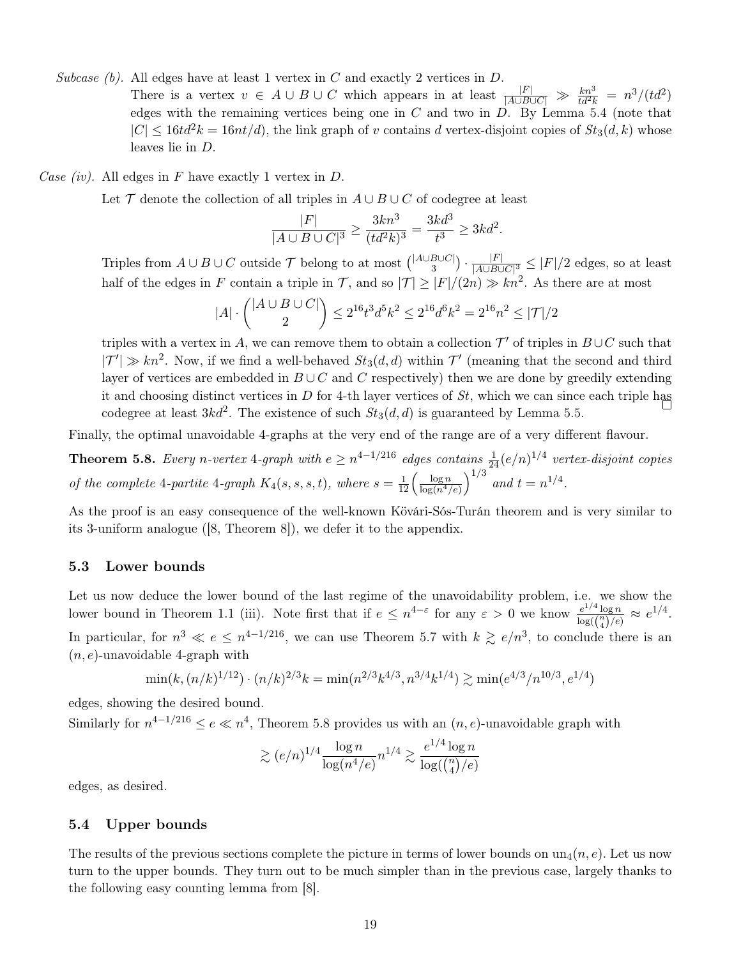Subcase (b). All edges have at least 1 vertex in C and exactly 2 vertices in D.

There is a vertex  $v \in A \cup B \cup C$  which appears in at least  $\frac{|F|}{|A \cup B \cup C|} \gg \frac{kn^3}{td^2k} = n^3/(td^2)$ edges with the remaining vertices being one in  $C$  and two in  $D$ . By Lemma [5.4](#page-14-1) (note that  $|C| \leq 16td^2k = 16nt/d$ , the link graph of v contains d vertex-disjoint copies of  $St_3(d, k)$  whose leaves lie in D.

Case (iv). All edges in F have exactly 1 vertex in  $D$ .

Let  $\mathcal T$  denote the collection of all triples in  $A \cup B \cup C$  of codegree at least

$$
\frac{|F|}{|A \cup B \cup C|^3} \ge \frac{3kn^3}{(td^2k)^3} = \frac{3kd^3}{t^3} \ge 3kd^2.
$$

Triples from  $A \cup B \cup C$  outside  $\mathcal T$  belong to at most  $\binom{|A \cup B \cup C|}{3}$  $\left.\begin{array}{c} B\cup C| \ 3 \end{array}\right)\cdot \frac{|F|}{|A\cup B\cup}$  $\frac{|F|}{|A\cup B\cup C|^3} \leq |F|/2$  edges, so at least half of the edges in F contain a triple in T, and so  $|\mathcal{T}| \geq |F|/(2n) \gg kn^2$ . As there are at most

$$
|A| \cdot \binom{|A \cup B \cup C|}{2} \le 2^{16} t^3 d^5 k^2 \le 2^{16} d^6 k^2 = 2^{16} n^2 \le |\mathcal{T}|/2
$$

triples with a vertex in A, we can remove them to obtain a collection  $\mathcal{T}'$  of triples in  $B\cup C$  such that  $|{\cal T}'| \gg kn^2$ . Now, if we find a well-behaved  $St_3(d,d)$  within  ${\cal T}'$  (meaning that the second and third layer of vertices are embedded in  $B \cup C$  and C respectively) then we are done by greedily extending it and choosing distinct vertices in  $D$  for 4-th layer vertices of  $St$ , which we can since each triple has codegree at least  $3kd^2$ . The existence of such  $St_3(d, d)$  is guaranteed by Lemma [5.5.](#page-15-2)

Finally, the optimal unavoidable 4-graphs at the very end of the range are of a very different flavour.

<span id="page-18-1"></span>**Theorem 5.8.** Every n-vertex 4-graph with  $e \ge n^{4-1/216}$  edges contains  $\frac{1}{24}(e/n)^{1/4}$  vertex-disjoint copies of the complete 4-partite 4-graph  $K_4(s, s, s, t)$ , where  $s = \frac{1}{12} \left( \frac{\log n}{\log(n^4)} \right)$  $\frac{\log n}{\log(n^4/e)}\right)^{1/3}$  and  $t=n^{1/4}$ .

As the proof is an easy consequence of the well-known Kövári-Sós-Turán theorem and is very similar to its 3-uniform analogue ([\[8,](#page-21-2) Theorem 8]), we defer it to the appendix.

### 5.3 Lower bounds

Let us now deduce the lower bound of the last regime of the unavoidability problem, i.e. we show the lower bound in Theorem [1.1](#page-1-0) (iii). Note first that if  $e \leq n^{4-\epsilon}$  for any  $\epsilon > 0$  we know  $\frac{e^{1/4} \log n}{\ln \epsilon(n)}$  $\frac{e^{1/4} \log n}{\log(\binom{n}{4})/e} \approx e^{1/4}.$ In particular, for  $n^3 \ll e \leq n^{4-1/216}$ , we can use Theorem [5.7](#page-16-0) with  $k \gtrsim e/n^3$ , to conclude there is an  $(n, e)$ -unavoidable 4-graph with

$$
\min(k, (n/k)^{1/12}) \cdot (n/k)^{2/3} k = \min(n^{2/3} k^{4/3}, n^{3/4} k^{1/4}) \gtrsim \min(e^{4/3}/n^{10/3}, e^{1/4})
$$

edges, showing the desired bound.

Similarly for  $n^{4-1/216} \le e \ll n^4$ , Theorem [5.8](#page-18-1) provides us with an  $(n, e)$ -unavoidable graph with

$$
\gtrsim (e/n)^{1/4} \frac{\log n}{\log(n^4/e)} n^{1/4} \gtrsim \frac{e^{1/4} \log n}{\log(\binom{n}{4}/e)}
$$

edges, as desired.

### <span id="page-18-0"></span>5.4 Upper bounds

<span id="page-18-2"></span>The results of the previous sections complete the picture in terms of lower bounds on  $un_4(n, e)$ . Let us now turn to the upper bounds. They turn out to be much simpler than in the previous case, largely thanks to the following easy counting lemma from [\[8\]](#page-21-2).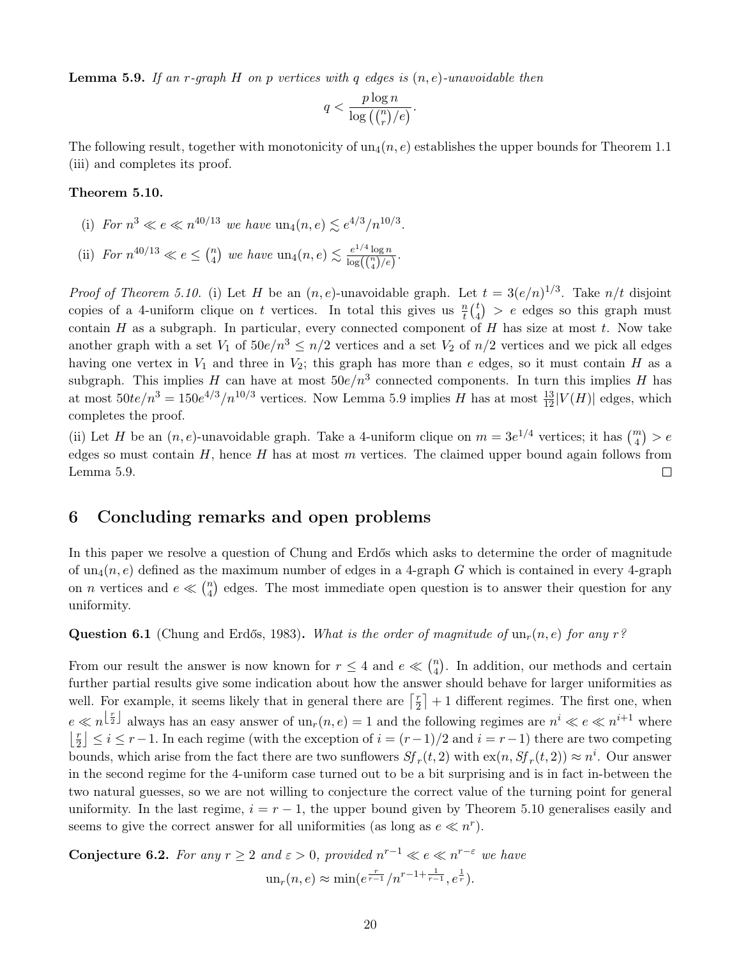**Lemma 5.9.** If an r-graph H on p vertices with q edges is  $(n, e)$ -unavoidable then

$$
q < \frac{p \log n}{\log\left(\binom{n}{r}/e\right)}.
$$

The following result, together with monotonicity of  $un_4(n, e)$  establishes the upper bounds for Theorem [1.1](#page-1-0) (iii) and completes its proof.

#### <span id="page-19-1"></span>Theorem 5.10.

- (i) For  $n^3 \ll e \ll n^{40/13}$  we have  $un_4(n, e) \lesssim e^{4/3}/n^{10/3}$ .
- (ii) For  $n^{40/13} \ll e \leq {n \choose 4}$  $\binom{n}{4}$  we have  $\text{un}_4(n, e) \lesssim \frac{e^{1/4} \log n}{\log(\binom{n}{e})/e}$  $\frac{e^{2t} \log n}{\log(\binom{n}{4})/e}$ .

*Proof of Theorem [5.10.](#page-19-1)* (i) Let H be an  $(n, e)$ -unavoidable graph. Let  $t = 3(e/n)^{1/3}$ . Take  $n/t$  disjoint copies of a 4-uniform clique on t vertices. In total this gives us  $\frac{n}{t} {t \choose 4}$  $\binom{t}{4}$  > e edges so this graph must contain H as a subgraph. In particular, every connected component of H has size at most  $t$ . Now take another graph with a set  $V_1$  of  $50e/n^3 \le n/2$  vertices and a set  $V_2$  of  $n/2$  vertices and we pick all edges having one vertex in  $V_1$  and three in  $V_2$ ; this graph has more than e edges, so it must contain H as a subgraph. This implies H can have at most  $50e/n^3$  connected components. In turn this implies H has at most  $50te/n^3 = 150e^{4/3}/n^{10/3}$  vertices. Now Lemma [5.9](#page-18-2) implies H has at most  $\frac{13}{12}|V(H)|$  edges, which completes the proof.

(ii) Let H be an  $(n, e)$ -unavoidable graph. Take a 4-uniform clique on  $m = 3e^{1/4}$  vertices; it has  $\binom{m}{4} > e$ edges so must contain  $H$ , hence  $H$  has at most  $m$  vertices. The claimed upper bound again follows from Lemma [5.9.](#page-18-2)  $\Box$ 

### <span id="page-19-0"></span>6 Concluding remarks and open problems

In this paper we resolve a question of Chung and Erdős which asks to determine the order of magnitude of  $un_4(n, e)$  defined as the maximum number of edges in a 4-graph G which is contained in every 4-graph on *n* vertices and  $e \ll \binom{n}{4}$  $\binom{n}{4}$  edges. The most immediate open question is to answer their question for any uniformity.

<span id="page-19-2"></span>**Question 6.1** (Chung and Erdős, 1983). What is the order of magnitude of  $\text{un}_r(n, e)$  for any r?

From our result the answer is now known for  $r \leq 4$  and  $e \ll \binom{n}{4}$  $_{4}^{n}$ ). In addition, our methods and certain further partial results give some indication about how the answer should behave for larger uniformities as well. For example, it seems likely that in general there are  $\lceil \frac{r}{2} \rceil$  $\left\lfloor \frac{r}{2} \right\rfloor + 1$  different regimes. The first one, when  $e \ll n^{\lfloor \frac{r}{2} \rfloor}$  always has an easy answer of  $\text{un}_{r}(n, e) = 1$  and the following regimes are  $n^{i} \ll e \ll n^{i+1}$  where  $\frac{r}{2}$  $\lfloor \frac{r}{2} \rfloor \leq i \leq r-1$ . In each regime (with the exception of  $i = (r-1)/2$  and  $i = r-1$ ) there are two competing bounds, which arise from the fact there are two sunflowers  $Sf_r(t, 2)$  with  $\exp(n, Sf_r(t, 2)) \approx n^i$ . Our answer in the second regime for the 4-uniform case turned out to be a bit surprising and is in fact in-between the two natural guesses, so we are not willing to conjecture the correct value of the turning point for general uniformity. In the last regime,  $i = r - 1$ , the upper bound given by Theorem [5.10](#page-19-1) generalises easily and seems to give the correct answer for all uniformities (as long as  $e \ll n^r$ ).

<span id="page-19-3"></span>**Conjecture 6.2.** For any  $r \geq 2$  and  $\varepsilon > 0$ , provided  $n^{r-1} \ll e \ll n^{r-\varepsilon}$  we have  $\text{un}_r(n, e) \approx \min(e^{\frac{r}{r-1}}/n^{r-1+\frac{1}{r-1}}, e^{\frac{1}{r}}).$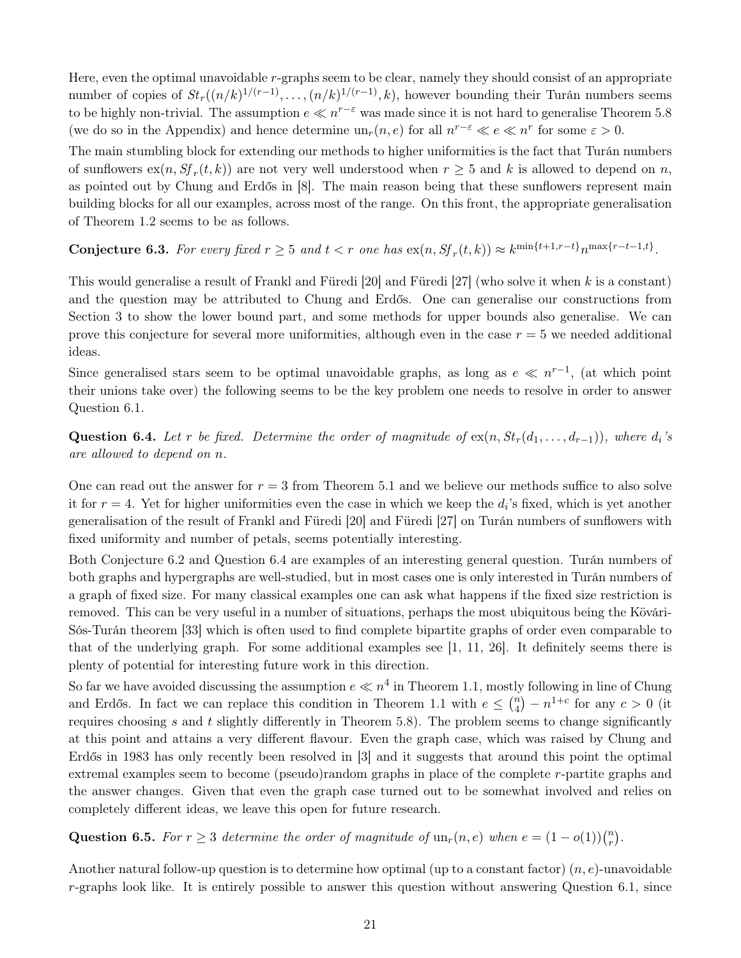Here, even the optimal unavoidable  $r$ -graphs seem to be clear, namely they should consist of an appropriate number of copies of  $St_r((n/k)^{1/(r-1)}, \ldots, (n/k)^{1/(r-1)}, k)$ , however bounding their Turán numbers seems to be highly non-trivial. The assumption  $e \ll n^{r-\varepsilon}$  was made since it is not hard to generalise Theorem [5.8](#page-18-1) (we do so in the Appendix) and hence determine  $un_r(n, e)$  for all  $n^{r-\varepsilon} \ll e \ll n^r$  for some  $\varepsilon > 0$ .

The main stumbling block for extending our methods to higher uniformities is the fact that Turán numbers of sunflowers  $\operatorname{ex}(n, Sf_r(t, k))$  are not very well understood when  $r \geq 5$  and k is allowed to depend on n, as pointed out by Chung and Erdős in [\[8\]](#page-21-2). The main reason being that these sunflowers represent main building blocks for all our examples, across most of the range. On this front, the appropriate generalisation of Theorem [1.2](#page-2-0) seems to be as follows.

Conjecture 6.3. For every fixed  $r \geq 5$  and  $t < r$  one has  $\exp(n, Sf_r(t, k)) \approx k^{\min\{t+1, r-t\}} n^{\max\{r-t-1, t\}}$ .

This would generalise a result of Frankl and Füredi [\[20\]](#page-21-6) and Füredi [\[27\]](#page-22-14) (who solve it when k is a constant) and the question may be attributed to Chung and Erdős. One can generalise our constructions from Section [3](#page-4-0) to show the lower bound part, and some methods for upper bounds also generalise. We can prove this conjecture for several more uniformities, although even in the case  $r = 5$  we needed additional ideas.

Since generalised stars seem to be optimal unavoidable graphs, as long as  $e \ll n^{r-1}$ , (at which point their unions take over) the following seems to be the key problem one needs to resolve in order to answer Question [6.1.](#page-19-2)

<span id="page-20-0"></span>Question 6.4. Let r be fixed. Determine the order of magnitude of  $ex(n, St_r(d_1, \ldots, d_{r-1}))$ , where  $d_i$ 's are allowed to depend on n.

One can read out the answer for  $r = 3$  from Theorem [5.1](#page-11-1) and we believe our methods suffice to also solve it for  $r = 4$ . Yet for higher uniformities even the case in which we keep the  $d_i$ 's fixed, which is yet another generalisation of the result of Frankl and Füredi [\[20\]](#page-21-6) and Füredi [\[27\]](#page-22-14) on Turán numbers of sunflowers with fixed uniformity and number of petals, seems potentially interesting.

Both Conjecture [6.2](#page-19-3) and Question [6.4](#page-20-0) are examples of an interesting general question. Turán numbers of both graphs and hypergraphs are well-studied, but in most cases one is only interested in Turán numbers of a graph of fixed size. For many classical examples one can ask what happens if the fixed size restriction is removed. This can be very useful in a number of situations, perhaps the most ubiquitous being the Kövári-Sós-Turán theorem [\[33\]](#page-22-15) which is often used to find complete bipartite graphs of order even comparable to that of the underlying graph. For some additional examples see [\[1,](#page-21-20) [11,](#page-21-21) [26\]](#page-22-16). It definitely seems there is plenty of potential for interesting future work in this direction.

So far we have avoided discussing the assumption  $e \ll n^4$  in Theorem [1.1,](#page-1-0) mostly following in line of Chung and Erdős. In fact we can replace this condition in Theorem [1.1](#page-1-0) with  $e \leq {n \choose 4}$  $\binom{n}{4} - n^{1+c}$  for any  $c > 0$  (it requires choosing  $s$  and  $t$  slightly differently in Theorem [5.8\)](#page-18-1). The problem seems to change significantly at this point and attains a very different flavour. Even the graph case, which was raised by Chung and Erdős in 1983 has only recently been resolved in [\[3\]](#page-21-22) and it suggests that around this point the optimal extremal examples seem to become (pseudo)random graphs in place of the complete r-partite graphs and the answer changes. Given that even the graph case turned out to be somewhat involved and relies on completely different ideas, we leave this open for future research.

Question 6.5. For  $r \geq 3$  determine the order of magnitude of  $\text{un}_{r}(n, e)$  when  $e = (1 - o(1))\binom{n}{r}$  $\binom{n}{r}$  .

Another natural follow-up question is to determine how optimal (up to a constant factor)  $(n, e)$ -unavoidable  $r$ -graphs look like. It is entirely possible to answer this question without answering Question [6.1,](#page-19-2) since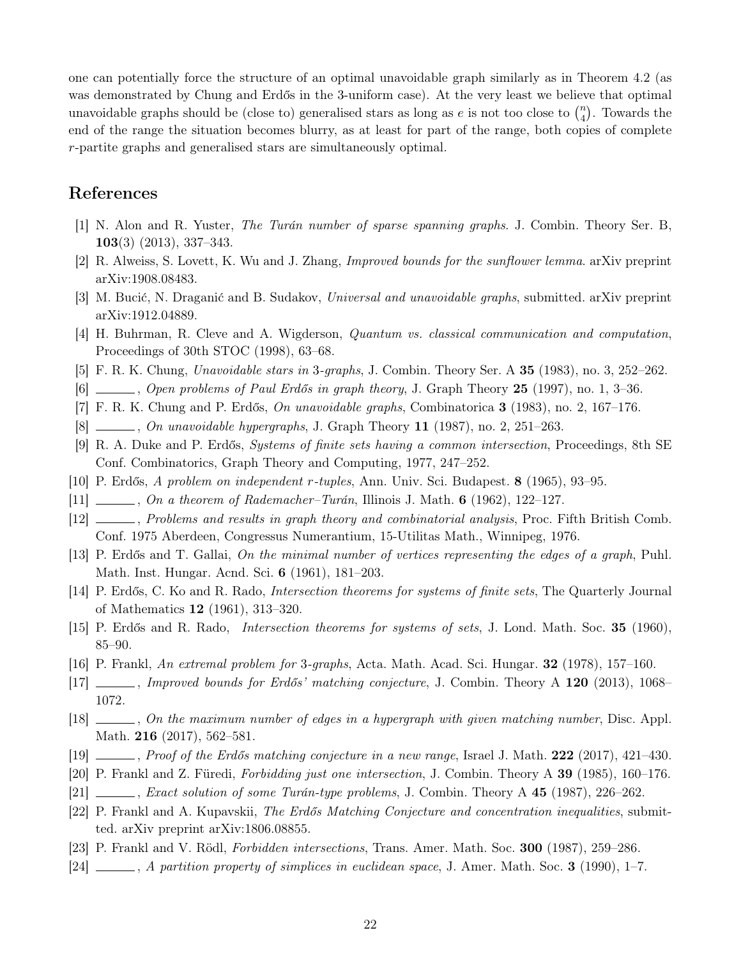one can potentially force the structure of an optimal unavoidable graph similarly as in Theorem [4.2](#page-7-0) (as was demonstrated by Chung and Erdős in the 3-uniform case). At the very least we believe that optimal unavoidable graphs should be (close to) generalised stars as long as e is not too close to  $\binom{n}{4}$  $\binom{n}{4}$ . Towards the end of the range the situation becomes blurry, as at least for part of the range, both copies of complete r-partite graphs and generalised stars are simultaneously optimal.

# References

- <span id="page-21-20"></span>[1] N. Alon and R. Yuster, The Turán number of sparse spanning graphs. J. Combin. Theory Ser. B,  $103(3)$  (2013), 337–343.
- <span id="page-21-4"></span>[2] R. Alweiss, S. Lovett, K. Wu and J. Zhang, Improved bounds for the sunflower lemma. arXiv preprint arXiv:1908.08483.
- <span id="page-21-22"></span>[3] M. Bucić, N. Draganić and B. Sudakov, Universal and unavoidable graphs, submitted. arXiv preprint arXiv:1912.04889.
- <span id="page-21-9"></span>[4] H. Buhrman, R. Cleve and A. Wigderson, Quantum vs. classical communication and computation, Proceedings of 30th STOC (1998), 63–68.
- <span id="page-21-19"></span>[5] F. R. K. Chung, Unavoidable stars in 3-graphs, J. Combin. Theory Ser. A 35 (1983), no. 3, 252–262.
- <span id="page-21-1"></span>[6] , Open problems of Paul Erdős in graph theory, J. Graph Theory 25 (1997), no. 1, 3–36.
- <span id="page-21-0"></span>[7] F. R. K. Chung and P. Erdős, On unavoidable graphs, Combinatorica 3 (1983), no. 2, 167–176.
- <span id="page-21-2"></span>[8]  $\ldots$ , On unavoidable hypergraphs, J. Graph Theory 11 (1987), no. 2, 251–263.
- <span id="page-21-5"></span>[9] R. A. Duke and P. Erdős, Systems of finite sets having a common intersection, Proceedings, 8th SE Conf. Combinatorics, Graph Theory and Computing, 1977, 247–252.
- <span id="page-21-10"></span>[10] P. Erdős, A problem on independent r-tuples, Ann. Univ. Sci. Budapest. 8 (1965), 93–95.
- <span id="page-21-21"></span> $[11]$  , On a theorem of Rademacher–Turán, Illinois J. Math. 6 (1962), 122–127.
- [12] , Problems and results in graph theory and combinatorial analysis, Proc. Fifth British Comb. Conf. 1975 Aberdeen, Congressus Numerantium, 15-Utilitas Math., Winnipeg, 1976.
- <span id="page-21-11"></span>[13] P. Erdős and T. Gallai, On the minimal number of vertices representing the edges of a graph, Puhl. Math. Inst. Hungar. Acnd. Sci. 6 (1961), 181–203.
- <span id="page-21-12"></span>[14] P. Erdős, C. Ko and R. Rado, Intersection theorems for systems of finite sets, The Quarterly Journal of Mathematics 12 (1961), 313–320.
- <span id="page-21-3"></span>[15] P. Erdős and R. Rado, Intersection theorems for systems of sets, J. Lond. Math. Soc. 35 (1960), 85–90.
- <span id="page-21-18"></span>[16] P. Frankl, An extremal problem for 3-graphs, Acta. Math. Acad. Sci. Hungar. 32 (1978), 157–160.
- <span id="page-21-13"></span>[17] , Improved bounds for Erdős' matching conjecture, J. Combin. Theory A 120 (2013), 1068– 1072.
- <span id="page-21-14"></span>[18] , On the maximum number of edges in a hypergraph with given matching number, Disc. Appl. Math. **216** (2017), 562–581.
- <span id="page-21-15"></span> $[19]$  , Proof of the Erdős matching conjecture in a new range, Israel J. Math. 222 (2017), 421–430.
- <span id="page-21-6"></span>[20] P. Frankl and Z. Füredi, Forbidding just one intersection, J. Combin. Theory A 39 (1985), 160–176.
- <span id="page-21-17"></span> $[21]$  , Exact solution of some Turán-type problems, J. Combin. Theory A 45 (1987), 226–262.
- <span id="page-21-16"></span>[22] P. Frankl and A. Kupavskii, The Erdős Matching Conjecture and concentration inequalities, submitted. arXiv preprint arXiv:1806.08855.
- <span id="page-21-7"></span>[23] P. Frankl and V. Rödl, Forbidden intersections, Trans. Amer. Math. Soc. 300 (1987), 259–286.
- <span id="page-21-8"></span> $[24]$  , A partition property of simplices in euclidean space, J. Amer. Math. Soc. 3 (1990), 1–7.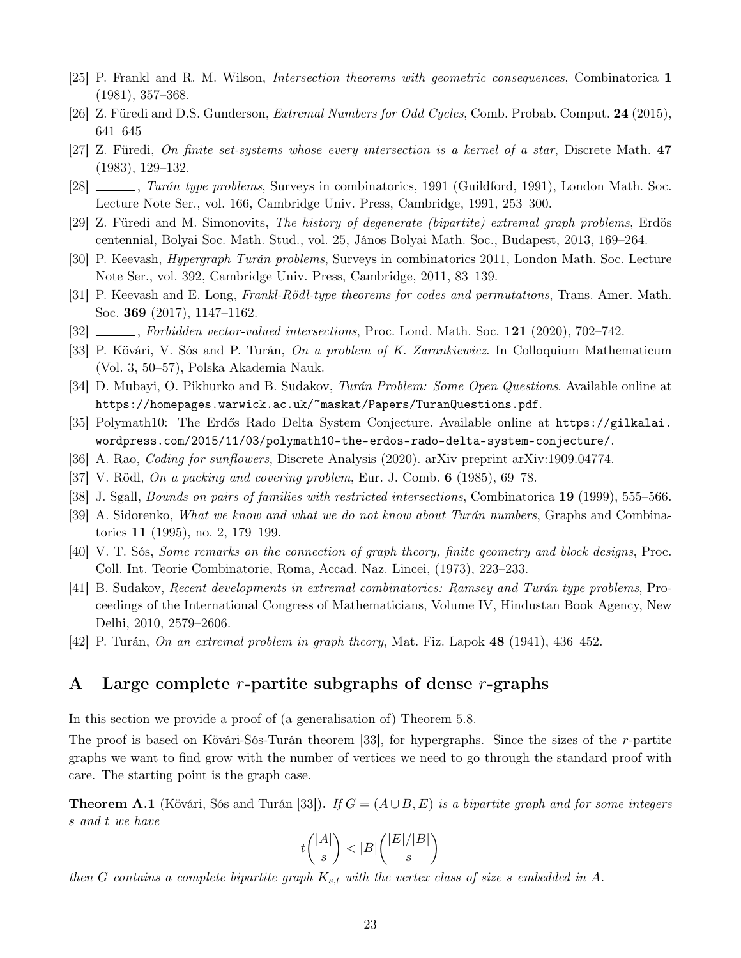- <span id="page-22-9"></span>[25] P. Frankl and R. M. Wilson, Intersection theorems with geometric consequences, Combinatorica 1 (1981), 357–368.
- <span id="page-22-16"></span>[26] Z. Füredi and D.S. Gunderson, Extremal Numbers for Odd Cycles, Comb. Probab. Comput. 24 (2015), 641–645
- <span id="page-22-14"></span>[27] Z. Füredi, On finite set-systems whose every intersection is a kernel of a star, Discrete Math. 47 (1983), 129–132.
- <span id="page-22-2"></span>[28] , Turán type problems, Surveys in combinatorics, 1991 (Guildford, 1991), London Math. Soc. Lecture Note Ser., vol. 166, Cambridge Univ. Press, Cambridge, 1991, 253–300.
- <span id="page-22-0"></span>[29] Z. Füredi and M. Simonovits, The history of degenerate (bipartite) extremal graph problems, Erdös centennial, Bolyai Soc. Math. Stud., vol. 25, János Bolyai Math. Soc., Budapest, 2013, 169–264.
- <span id="page-22-3"></span>[30] P. Keevash, Hypergraph Turán problems, Surveys in combinatorics 2011, London Math. Soc. Lecture Note Ser., vol. 392, Cambridge Univ. Press, Cambridge, 2011, 83–139.
- <span id="page-22-10"></span>[31] P. Keevash and E. Long, Frankl-Rödl-type theorems for codes and permutations, Trans. Amer. Math. Soc. 369 (2017), 1147–1162.
- <span id="page-22-11"></span>[32] , Forbidden vector-valued intersections, Proc. Lond. Math. Soc. 121 (2020), 702–742.
- <span id="page-22-15"></span>[33] P. Kövári, V. Sós and P. Turán, On a problem of K. Zarankiewicz. In Colloquium Mathematicum (Vol. 3, 50–57), Polska Akademia Nauk.
- <span id="page-22-6"></span>[34] D. Mubayi, O. Pikhurko and B. Sudakov, Turán Problem: Some Open Questions. Available online at <https://homepages.warwick.ac.uk/~maskat/Papers/TuranQuestions.pdf>.
- <span id="page-22-8"></span>[35] Polymath10: The Erdős Rado Delta System Conjecture. Available online at [https://gilkalai.](https://gilkalai.wordpress.com/2015/11/03/polymath10-the-erdos-rado-delta-system-conjecture/) [wordpress.com/2015/11/03/polymath10-the-erdos-rado-delta-system-conjecture/](https://gilkalai.wordpress.com/2015/11/03/polymath10-the-erdos-rado-delta-system-conjecture/).
- <span id="page-22-7"></span>[36] A. Rao, Coding for sunflowers, Discrete Analysis (2020). arXiv preprint arXiv:1909.04774.
- [37] V. Rödl, On a packing and covering problem, Eur. J. Comb. 6 (1985), 69–78.
- <span id="page-22-13"></span>[38] J. Sgall, Bounds on pairs of families with restricted intersections, Combinatorica 19 (1999), 555–566.
- <span id="page-22-4"></span>[39] A. Sidorenko, What we know and what we do not know about Turán numbers, Graphs and Combinatorics 11 (1995), no. 2, 179–199.
- <span id="page-22-12"></span>[40] V. T. Sós, Some remarks on the connection of graph theory, finite geometry and block designs, Proc. Coll. Int. Teorie Combinatorie, Roma, Accad. Naz. Lincei, (1973), 223–233.
- <span id="page-22-5"></span>[41] B. Sudakov, Recent developments in extremal combinatorics: Ramsey and Turán type problems, Proceedings of the International Congress of Mathematicians, Volume IV, Hindustan Book Agency, New Delhi, 2010, 2579–2606.
- <span id="page-22-1"></span>[42] P. Turán, On an extremal problem in graph theory, Mat. Fiz. Lapok 48 (1941), 436–452.

## A Large complete r-partite subgraphs of dense r-graphs

In this section we provide a proof of (a generalisation of) Theorem [5.8.](#page-18-1)

The proof is based on Kövári-Sós-Turán theorem [\[33\]](#page-22-15), for hypergraphs. Since the sizes of the r-partite graphs we want to find grow with the number of vertices we need to go through the standard proof with care. The starting point is the graph case.

<span id="page-22-17"></span>**Theorem A.1** (Kövári, Sós and Turán [\[33\]](#page-22-15)). If  $G = (A \cup B, E)$  is a bipartite graph and for some integers s and t we have

$$
t\binom{|A|}{s} < |B|\binom{|E|/|B|}{s}
$$

then G contains a complete bipartite graph  $K_{s,t}$  with the vertex class of size s embedded in A.